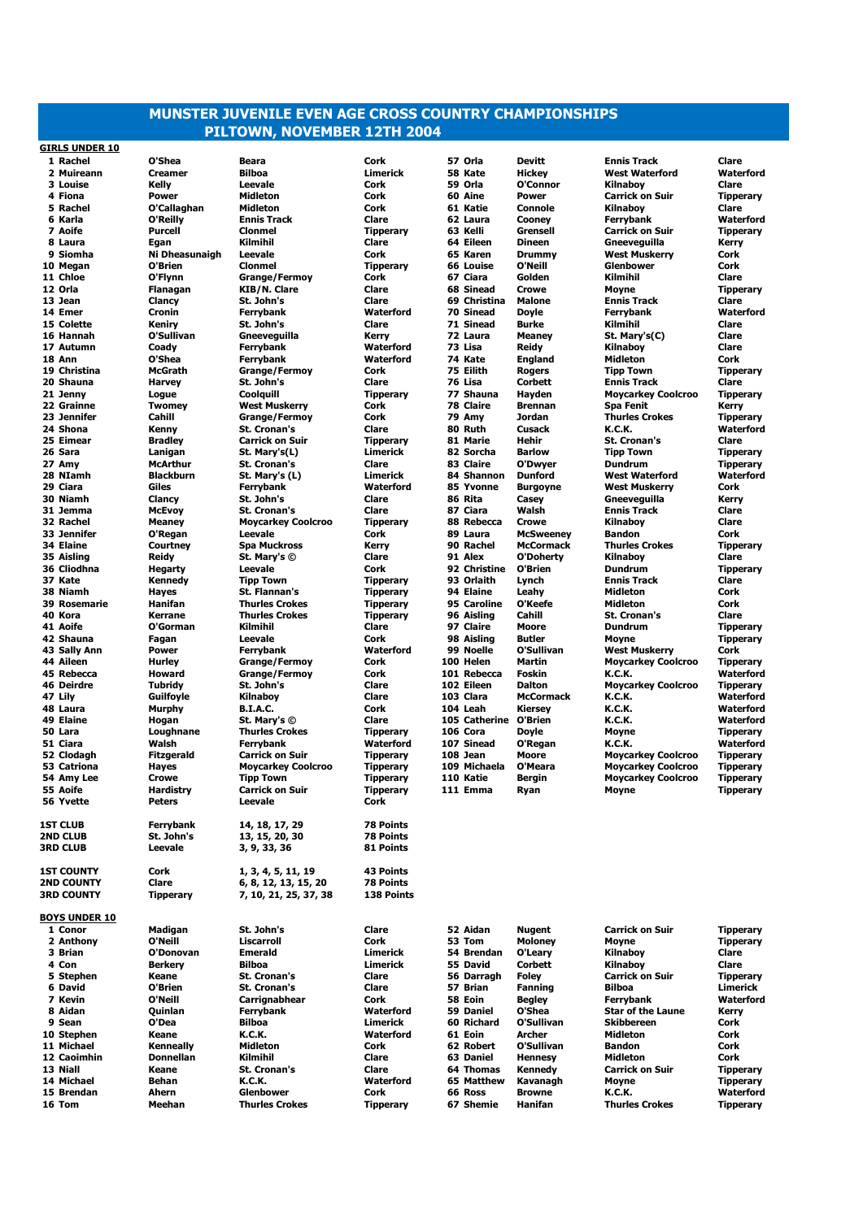## **MUNSTER JUVENILE EVEN AGE CROSS COUNTRY CHAMPIONSHIPS PILTOWN, NOVEMBER 12TH 2004**

**GIRLS UNDER 10**

**BOYS UNDER 10**

 **Rachel O'Shea Beara Cork 57 Orla Devitt Ennis Track Clare Muireann Creamer Bilboa Limerick 58 Kate Hickey West Waterford Waterford Louise Kelly Leevale Cork 59 Orla O'Connor Kilnaboy Clare Fiona Power Midleton Cork 60 Aine Power Carrick on Suir Tipperary Rachel O'Callaghan Midleton Cork 61 Katie Connole Kilnaboy Clare Karla O'Reilly Ennis Track Clare 62 Laura Cooney Ferrybank Waterford Aoife Purcell Clonmel Tipperary 63 Kelli Grensell Carrick on Suir Tipperary Laura Egan Kilmihil Clare 64 Eileen Dineen Gneeveguilla Kerry Siomha Ni Dheasunaigh Leevale Cork 65 Karen Drummy West Muskerry Cork Megan O'Brien Clonmel Tipperary 66 Louise O'Neill Glenbower Cork Chloe O'Flynn Grange/Fermoy Cork 67 Ciara Golden Kilmihil Clare Orla Flanagan KIB/N. Clare Clare 68 Sinead Crowe Moyne Tipperary Jean Clancy St. John's Clare 69 Christina Malone Ennis Track Clare Emer Cronin Ferrybank Waterford 70 Sinead Doyle Ferrybank Waterford Colette Keniry St. John's Clare 71 Sinead Burke Kilmihil Clare Hannah O'Sullivan Gneeveguilla Kerry 72 Laura Meaney St. Mary's(C) Clare Autumn Coady Ferrybank Waterford 73 Lisa Reidy Kilnaboy Clare Ann O'Shea Ferrybank Waterford 74 Kate England Midleton Cork Christina McGrath Grange/Fermoy Cork 75 Eilith Rogers Tipp Town Tipperary Shauna Harvey St. John's Clare 76 Lisa Corbett Ennis Track Clare Jenny Logue Coolquill Tipperary 77 Shauna Hayden Moycarkey Coolcroo Tipperary Grainne Twomey West Muskerry Cork 78 Claire Brennan Spa Fenit Kerry Jennifer Cahill Grange/Fermoy Cork 79 Amy Jordan Thurles Crokes Tipperary Shona Kenny St. Cronan's Clare 80 Ruth Cusack K.C.K. Waterford Eimear Bradley Carrick on Suir Tipperary 81 Marie Hehir St. Cronan's Clare Sara Lanigan St. Mary's(L) Limerick 82 Sorcha Barlow Tipp Town Tipperary Amy McArthur St. Cronan's Clare 83 Claire O'Dwyer Dundrum Tipperary NIamh Blackburn St. Mary's (L) Limerick 84 Shannon Dunford West Waterford Waterford Ciara Giles Ferrybank Waterford 85 Yvonne Burgoyne West Muskerry Cork Niamh Clancy St. John's Clare 86 Rita Casey Gneeveguilla Kerry Jemma McEvoy St. Cronan's Clare 87 Ciara Walsh Ennis Track Clare Rachel Meaney Moycarkey Coolcroo Tipperary 88 Rebecca Crowe Kilnaboy Clare Jennifer O'Regan Leevale Cork 89 Laura McSweeney Bandon Cork Elaine Courtney Spa Muckross Kerry 90 Rachel McCormack Thurles Crokes Tipperary Aisling Reidy St. Mary's © Clare 91 Alex O'Doherty Kilnaboy Clare Cliodhna Hegarty Leevale Cork 92 Christine O'Brien Dundrum Tipperary Kate Kennedy Tipp Town Tipperary 93 Orlaith Lynch Ennis Track Clare Niamh Hayes St. Flannan's Tipperary 94 Elaine Leahy Midleton Cork Rosemarie Hanifan Thurles Crokes Tipperary 95 Caroline O'Keefe Midleton Cork Kora Kerrane Thurles Crokes Tipperary 96 Aisling Cahill St. Cronan's Clare Aoife O'Gorman Kilmihil Clare 97 Claire Moore Dundrum Tipperary Shauna Fagan Leevale Cork 98 Aisling Butler Moyne Tipperary Sally Ann Power Ferrybank Waterford 99 Noelle O'Sullivan West Muskerry Cork Aileen Hurley Grange/Fermoy Cork 100 Helen Martin Moycarkey Coolcroo Tipperary Deirdre Tubridy St. John's Clare 102 Eileen Dalton Moycarkey Coolcroo Tipperary Lily Guilfoyle Kilnaboy Clare 103 Clara McCormack K.C.K. Waterford Laura Murphy B.I.A.C. Cork 104 Leah Kiersey K.C.K. Waterford Elaine Hogan St. Mary's © Clare 105 Catherine O'Brien K.C.K. Waterford Lara Loughnane Thurles Crokes Tipperary 106 Cora Doyle Moyne Tipperary Ciara Walsh Ferrybank Waterford 107 Sinead O'Regan K.C.K. Waterford Clodagh Fitzgerald Carrick on Suir Tipperary 108 Jean Moore Moycarkey Coolcroo Tipperary Amy Lee Crowe Tipp Town Tipperary 110 Katie Bergin Moycarkey Coolcroo Tipperary Aoife Hardistry Carrick on Suir Tipperary 111 Emma Ryan Moyne Tipperary Yvette Peters Leevale Cork 1ST CLUB Ferrybank 14, 18, 17, 29 78 Points 2ND CLUB St. John's 13, 15, 20, 30 78 Points 3RD CLUB Leevale 3, 9, 33, 36 81 Points 1ST COUNTY Cork 1, 3, 4, 5, 11, 19 43 Points 2ND COUNTY Clare 6, 8, 12, 13, 15, 20 78 Points 3RD COUNTY Tipperary 7, 10, 21, 25, 37, 38 138 Points Conor Madigan St. John's Clare 52 Aidan Nugent Carrick on Suir Tipperary Anthony O'Neill Liscarroll Cork 53 Tom Moloney Moyne Tipperary Brian O'Donovan Emerald Limerick 54 Brendan O'Leary Kilnaboy Clare Con Berkery Bilboa Limerick 55 David Corbett Kilnaboy Clare Stephen Keane St. Cronan's Clare 56 Darragh Foley Carrick on Suir Tipperary David O'Brien St. Cronan's Clare 57 Brian Fanning Bilboa Limerick Kevin O'Neill Carrignabhear Cork 58 Eoin Begley Ferrybank Waterford Aidan Quinlan Ferrybank Waterford 59 Daniel O'Shea Star of the Laune Kerry Sean O'Dea Bilboa Limerick 60 Richard O'Sullivan Skibbereen Cork Stephen Keane K.C.K. Waterford 61 Eoin Archer Midleton Cork Michael Kenneally Midleton Cork 62 Robert O'Sullivan Bandon Cork Caoimhin Donnellan Kilmihil Clare 63 Daniel Hennesy Midleton Cork Niall Keane St. Cronan's Clare 64 Thomas Kennedy Carrick on Suir Tipperary Michael Behan K.C.K. Waterford 65 Matthew Kavanagh Moyne Tipperary Brendan Ahern Glenbower Cork 66 Ross Browne K.C.K. Waterford Tom Meehan Thurles Crokes Tipperary 67 Shemie Hanifan Thurles Crokes Tipperary**

 **Rebecca Howard Grange/Fermoy Cork 101 Rebecca Foskin K.C.K. Waterford Catriona Hayes Moycarkey Coolcroo Tipperary 109 Michaela O'Meara Moycarkey Coolcroo Tipperary**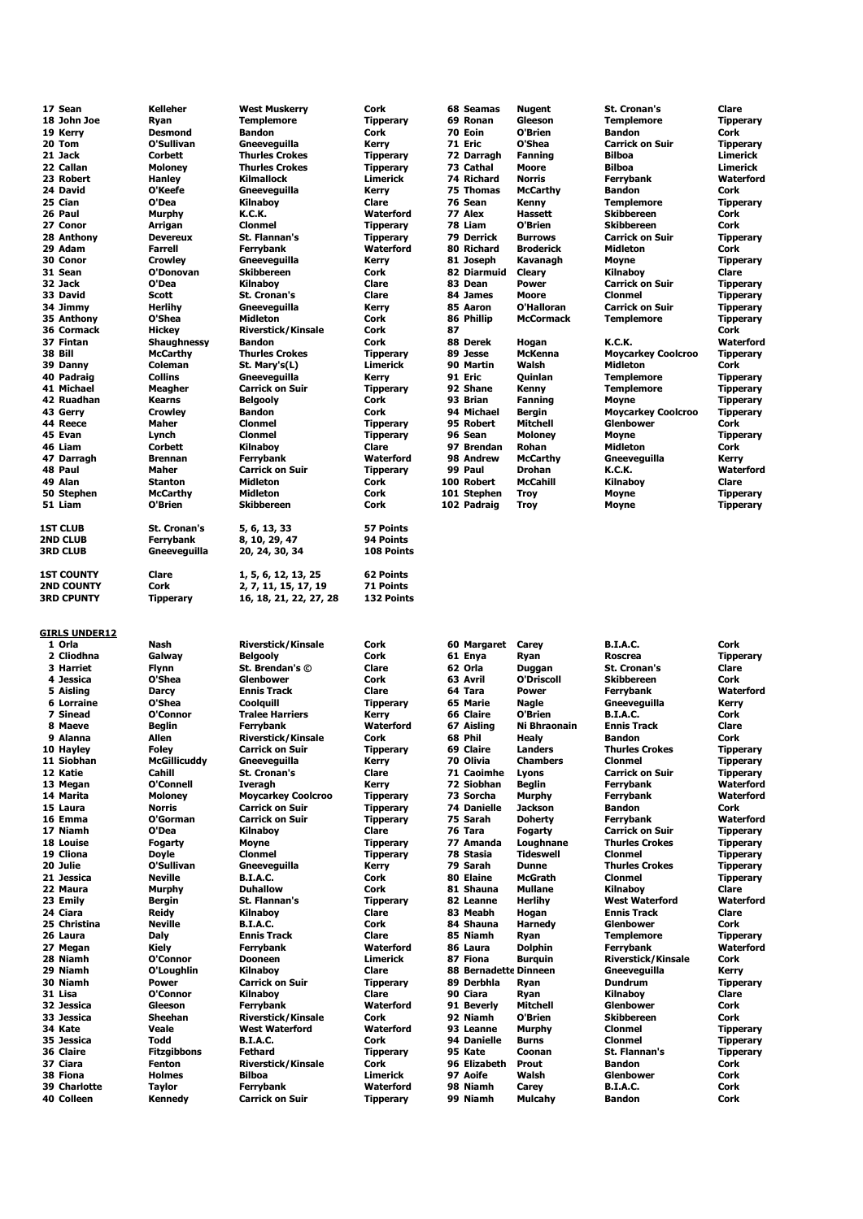| 17 Sean                        | Kelleher                         | <b>West Muskerry</b>                   | Cork                                | 68 Seamas             | Nugent                    | <b>St. Cronan's</b>                | Clare                    |
|--------------------------------|----------------------------------|----------------------------------------|-------------------------------------|-----------------------|---------------------------|------------------------------------|--------------------------|
| 18 John Joe                    | Ryan                             | <b>Templemore</b>                      | <b>Tipperary</b>                    | 69 Ronan              | Gleeson                   | <b>Templemore</b>                  | <b>Tipperary</b>         |
| 19 Kerry                       | <b>Desmond</b>                   | <b>Bandon</b>                          | Cork                                | 70 Eoin               | O'Brien                   | <b>Bandon</b>                      | Cork                     |
| 20 Tom                         | O'Sullivan                       | Gneeveguilla                           | Kerry                               | 71 Eric               | O'Shea                    | <b>Carrick on Suir</b>             | <b>Tipperary</b>         |
| 21 Jack                        | Corbett                          | <b>Thurles Crokes</b>                  | <b>Tipperary</b>                    | 72 Darragh            | <b>Fanning</b>            | <b>Bilboa</b>                      | Limerick                 |
| 22 Callan                      | <b>Moloney</b>                   | <b>Thurles Crokes</b>                  | <b>Tipperary</b>                    | 73 Cathal             | Moore                     | <b>Bilboa</b>                      | Limerick                 |
| 23 Robert                      | Hanley                           | <b>Kilmallock</b>                      | <b>Limerick</b>                     | 74 Richard            | <b>Norris</b>             | Ferrybank                          | Waterford                |
| 24 David                       | O'Keefe                          | Gneeveguilla                           | Kerry                               | 75 Thomas             | <b>McCarthy</b>           | <b>Bandon</b>                      | Cork                     |
| 25 Cian                        | O'Dea                            | Kilnaboy                               | Clare                               | 76 Sean               | Kenny                     | <b>Templemore</b>                  | <b>Tipperary</b>         |
| 26 Paul                        | Murphy                           | K.C.K.                                 | Waterford                           | 77 Alex               | <b>Hassett</b>            | <b>Skibbereen</b>                  | Cork                     |
| 27 Conor                       | Arrigan                          | <b>Clonmel</b>                         | <b>Tipperary</b>                    | 78 Liam               | O'Brien                   | <b>Skibbereen</b>                  | Cork                     |
| 28 Anthony                     | <b>Devereux</b>                  | St. Flannan's                          | <b>Tipperary</b>                    | 79 Derrick            | <b>Burrows</b>            | <b>Carrick on Suir</b>             | <b>Tipperary</b>         |
| 29 Adam                        | Farrell                          | <b>Ferrybank</b>                       | Waterford                           | 80 Richard            | Broderick                 | Midleton                           | Cork                     |
| 30 Conor                       | <b>Crowley</b>                   | Gneeveguilla                           | Kerry                               | 81 Joseph             | Kavanagh                  | Moyne                              | <b>Tipperary</b>         |
| 31 Sean                        | O'Donovan                        | <b>Skibbereen</b>                      | Cork                                | 82 Diarmuid           | Cleary                    | Kilnaboy                           | Clare                    |
| 32 Jack                        | O'Dea                            | Kilnaboy                               | Clare                               | 83 Dean               | <b>Power</b>              | <b>Carrick on Suir</b>             | <b>Tipperary</b>         |
| 33 David                       | Scott                            | <b>St. Cronan's</b>                    | Clare                               | 84 James              | Moore                     | <b>Clonmel</b>                     | <b>Tipperary</b>         |
| 34 Jimmy                       | <b>Herlihy</b>                   | Gneeveguilla                           | Kerry                               | 85 Aaron              | O'Halloran                | <b>Carrick on Suir</b>             | <b>Tipperary</b>         |
| 35 Anthony                     | O'Shea                           | Midleton                               | Cork                                | 86 Phillip            | <b>McCormack</b>          | <b>Templemore</b>                  | <b>Tipperary</b>         |
| 36 Cormack                     | <b>Hickey</b>                    | <b>Riverstick/Kinsale</b>              | Cork                                | 87                    |                           |                                    | Cork                     |
| 37 Fintan                      | Shaughnessy                      | <b>Bandon</b>                          | Cork                                | 88 Derek              | Hogan                     | K.C.K.                             | Waterford                |
| 38 Bill                        | <b>McCarthy</b>                  | <b>Thurles Crokes</b>                  | <b>Tipperary</b><br><b>Limerick</b> | 89 Jesse              | <b>McKenna</b><br>Walsh   | <b>Moycarkey Coolcroo</b>          | <b>Tipperary</b>         |
| 39 Danny                       | Coleman                          | St. Mary's(L)                          |                                     | 90 Martin             |                           | Midleton                           | Cork                     |
| 40 Padraig                     | <b>Collins</b>                   | Gneeveguilla<br><b>Carrick on Suir</b> | Kerry                               | 91 Eric               | Quinlan                   | <b>Templemore</b>                  | <b>Tipperary</b>         |
| 41 Michael<br>42 Ruadhan       | Meagher                          |                                        | <b>Tipperary</b><br>Cork            | 92 Shane<br>93 Brian  | Kenny                     | <b>Templemore</b>                  | <b>Tipperary</b>         |
|                                | <b>Kearns</b>                    | <b>Belgooly</b>                        | Cork                                | 94 Michael            | <b>Fanning</b>            | Moyne<br><b>Moycarkey Coolcroo</b> | <b>Tipperary</b>         |
| 43 Gerry<br>44 Reece           | <b>Crowley</b>                   | <b>Bandon</b><br><b>Clonmel</b>        |                                     | 95 Robert             | Bergin<br><b>Mitchell</b> | Glenbower                          | <b>Tipperary</b><br>Cork |
| 45 Evan                        | Maher                            | <b>Clonmel</b>                         | <b>Tipperary</b>                    | 96 Sean               |                           |                                    |                          |
|                                | Lynch                            |                                        | <b>Tipperary</b>                    | 97 Brendan            | <b>Moloney</b>            | Moyne                              | <b>Tipperary</b>         |
| 46 Liam<br>47 Darragh          | <b>Corbett</b><br><b>Brennan</b> | Kilnaboy<br><b>Ferrybank</b>           | Clare<br>Waterford                  | 98 Andrew             | Rohan<br><b>McCarthy</b>  | Midleton<br>Gneeveguilla           | Cork<br>Kerry            |
| 48 Paul                        | Maher                            | <b>Carrick on Suir</b>                 | <b>Tipperary</b>                    | 99 Paul               | <b>Drohan</b>             | K.C.K.                             | Waterford                |
| 49 Alan                        | <b>Stanton</b>                   | <b>Midleton</b>                        | Cork                                | 100 Robert            | <b>McCahill</b>           | Kilnabov                           | Clare                    |
| 50 Stephen                     | McCarthy                         | <b>Midleton</b>                        | Cork                                | 101 Stephen           | <b>Troy</b>               | Moyne                              | <b>Tipperary</b>         |
| 51 Liam                        | O'Brien                          | <b>Skibbereen</b>                      | Cork                                | 102 Padraig           | <b>Troy</b>               | Moyne                              | <b>Tipperary</b>         |
|                                |                                  |                                        |                                     |                       |                           |                                    |                          |
| <b>1ST CLUB</b>                | <b>St. Cronan's</b>              | 5, 6, 13, 33                           | <b>57 Points</b>                    |                       |                           |                                    |                          |
| <b>2ND CLUB</b>                | <b>Ferrybank</b>                 | 8, 10, 29, 47                          | 94 Points                           |                       |                           |                                    |                          |
| <b>3RD CLUB</b>                | Gneeveguilla                     | 20, 24, 30, 34                         | 108 Points                          |                       |                           |                                    |                          |
|                                |                                  |                                        |                                     |                       |                           |                                    |                          |
| <b>1ST COUNTY</b>              | Clare                            | 1, 5, 6, 12, 13, 25                    | 62 Points                           |                       |                           |                                    |                          |
| <b>2ND COUNTY</b>              | Cork                             | 2, 7, 11, 15, 17, 19                   | 71 Points                           |                       |                           |                                    |                          |
| <b>3RD CPUNTY</b>              | <b>Tipperary</b>                 | 16, 18, 21, 22, 27, 28                 | 132 Points                          |                       |                           |                                    |                          |
| <b>GIRLS UNDER12</b><br>1 Orla | Nash                             | <b>Riverstick/Kinsale</b>              | Cork                                | 60 Margaret           | Carey                     | <b>B.I.A.C.</b>                    | Cork                     |
| 2 Cliodhna                     | Galway                           | <b>Belgooly</b>                        | Cork                                | 61 Enya               | Ryan                      | <b>Roscrea</b>                     | <b>Tipperary</b>         |
| 3 Harriet                      | <b>Flynn</b>                     | St. Brendan's ©                        | Clare                               | 62 Orla               | Duggan                    | <b>St. Cronan's</b>                | Clare                    |
| 4 Jessica                      | O'Shea                           | Glenbower                              | Cork                                | 63 Avril              | O'Driscoll                | <b>Skibbereen</b>                  | Cork                     |
| 5 Aisling                      | <b>Darcy</b>                     | <b>Ennis Track</b>                     | Clare                               | 64 Tara               | <b>Power</b>              | Ferrybank                          | Waterford                |
| 6 Lorraine                     | O'Shea                           | Coolquill                              | <b>Tipperary</b>                    | 65 Marie              | Nagle                     | Gneeveguilla                       | Kerry                    |
| 7 Sinead                       | O'Connor                         | <b>Tralee Harriers</b>                 | Kerry                               | 66 Claire             | O'Brien                   | <b>B.I.A.C.</b>                    | Cork                     |
| 8 Maeve                        | <b>Beglin</b>                    | Ferrybank                              | Waterford                           | 67 Aisling            | Ni Bhraonain              | <b>Ennis Track</b>                 | Clare                    |
| 9 Alanna                       | Allen                            | <b>Riverstick/Kinsale</b>              | Cork                                | 68 Phil               | <b>Healy</b>              | <b>Bandon</b>                      | Cork                     |
| 10 Hayley                      | Foley                            | Carrick on Suir                        | Tipperary                           | 69 Claire             | Landers                   | Thurles Crokes                     | Tipperary                |
| 11 Siobhan                     | <b>McGillicuddy</b>              | Gneeveguilla                           | Kerry                               | 70 Olivia             | <b>Chambers</b>           | <b>Clonmel</b>                     | <b>Tipperary</b>         |
| 12 Katie                       | Cahill                           | St. Cronan's                           | Clare                               | 71 Caoimhe            | Lyons                     | <b>Carrick on Suir</b>             | <b>Tipperary</b>         |
| 13 Megan                       | O'Connell                        | <b>Iveragh</b>                         | Kerry                               | 72 Siobhan            | <b>Beglin</b>             | Ferrybank                          | Waterford                |
| 14 Marita                      | <b>Moloney</b>                   | <b>Moycarkey Coolcroo</b>              | <b>Tipperary</b>                    | 73 Sorcha             | <b>Murphy</b>             | Ferrybank                          | Waterford                |
| 15 Laura                       | <b>Norris</b>                    | <b>Carrick on Suir</b>                 | <b>Tipperary</b>                    | <b>74 Danielle</b>    | <b>Jackson</b>            | <b>Bandon</b>                      | Cork                     |
| 16 Emma                        | O'Gorman                         | <b>Carrick on Suir</b>                 | <b>Tipperary</b>                    | 75 Sarah              | <b>Doherty</b>            | Ferrybank                          | Waterford                |
| 17 Niamh                       |                                  |                                        |                                     |                       |                           | <b>Carrick on Suir</b>             |                          |
| 18 Louise                      | O'Dea                            | Kilnaboy                               | Clare                               | 76 Tara               | Fogarty                   |                                    | <b>Tipperary</b>         |
|                                | <b>Fogarty</b>                   | Moyne                                  | <b>Tipperary</b>                    | 77 Amanda             | Loughnane                 | <b>Thurles Crokes</b>              | <b>Tipperary</b>         |
| 19 Cliona                      | <b>Doyle</b>                     | <b>Clonmel</b>                         | <b>Tipperary</b>                    | 78 Stasia             | <b>Tideswell</b>          | <b>Clonmel</b>                     | <b>Tipperary</b>         |
| 20 Julie                       | O'Sullivan                       | Gneeveguilla                           | Kerry                               | 79 Sarah              | <b>Dunne</b>              | <b>Thurles Crokes</b>              | <b>Tipperary</b>         |
| 21 Jessica                     | <b>Neville</b>                   | <b>B.I.A.C.</b>                        | Cork                                | 80 Elaine             | <b>McGrath</b>            | <b>Clonmel</b>                     | <b>Tipperary</b>         |
| 22 Maura                       | Murphy                           | <b>Duhallow</b>                        | Cork                                | 81 Shauna             | <b>Mullane</b>            | Kilnaboy                           | Clare                    |
| 23 Emily                       | <b>Bergin</b>                    | St. Flannan's                          | <b>Tipperary</b>                    | 82 Leanne             | <b>Herlihy</b>            | <b>West Waterford</b>              | Waterford                |
| 24 Ciara                       | Reidy                            | <b>Kilnabov</b>                        | Clare                               | 83 Meabh              | Hogan                     | <b>Ennis Track</b>                 | Clare                    |
| 25 Christina                   | <b>Neville</b>                   | <b>B.I.A.C.</b>                        | Cork                                | 84 Shauna             | <b>Harnedy</b>            | Glenbower                          | Cork                     |
| 26 Laura                       | Daly                             | <b>Ennis Track</b>                     | Clare                               | 85 Niamh              | Ryan                      | <b>Templemore</b>                  | <b>Tipperary</b>         |
| 27 Megan                       | Kiely                            | Ferrybank                              | Waterford                           | 86 Laura              | <b>Dolphin</b>            | Ferrybank                          | Waterford                |
| 28 Niamh                       | O'Connor                         | Dooneen                                | Limerick                            | 87 Fiona              | Burquin                   | <b>Riverstick/Kinsale</b>          | Cork                     |
| 29 Niamh                       | O'Loughlin                       | Kilnaboy                               | Clare                               | 88 Bernadette Dinneen |                           | Gneeveguilla                       | Kerry                    |
| 30 Niamh                       | <b>Power</b>                     | <b>Carrick on Suir</b>                 | <b>Tipperary</b>                    | 89 Derbhla            | Ryan                      | <b>Dundrum</b>                     | <b>Tipperary</b>         |
| 31 Lisa                        | O'Connor                         | Kilnaboy                               | Clare                               | 90 Ciara              | Ryan                      | Kilnaboy                           | Clare                    |
| 32 Jessica                     | Gleeson                          | Ferrybank                              | Waterford                           | 91 Beverly            | Mitchell                  | Glenbower                          | Cork                     |
| 33 Jessica                     | Sheehan                          | <b>Riverstick/Kinsale</b>              | Cork                                | 92 Niamh              | O'Brien                   | <b>Skibbereen</b>                  | Cork                     |
| 34 Kate                        | Veale                            | <b>West Waterford</b>                  | Waterford                           | 93 Leanne             | Murphy                    | <b>Clonmel</b>                     | <b>Tipperary</b>         |
| 35 Jessica                     | Todd                             | <b>B.I.A.C.</b>                        | Cork                                | 94 Danielle           | <b>Burns</b>              | <b>Clonmel</b>                     | <b>Tipperary</b>         |
| 36 Claire                      | <b>Fitzgibbons</b>               | Fethard                                | <b>Tipperary</b>                    | 95 Kate               | Coonan                    | St. Flannan's                      | <b>Tipperary</b>         |
| 37 Ciara                       | <b>Fenton</b>                    | <b>Riverstick/Kinsale</b>              | Cork                                | 96 Elizabeth          | Prout                     | <b>Bandon</b>                      | Cork                     |
| 38 Fiona                       | <b>Holmes</b>                    | Bilboa                                 | Limerick                            | 97 Aoife              | Walsh                     | Glenbower                          | Cork                     |
| 39 Charlotte<br>40 Colleen     | <b>Taylor</b><br>Kennedy         | Ferrybank<br><b>Carrick on Suir</b>    | Waterford<br><b>Tipperary</b>       | 98 Niamh<br>99 Niamh  | Carey<br><b>Mulcahy</b>   | <b>B.I.A.C.</b><br><b>Bandon</b>   | Cork<br>Cork             |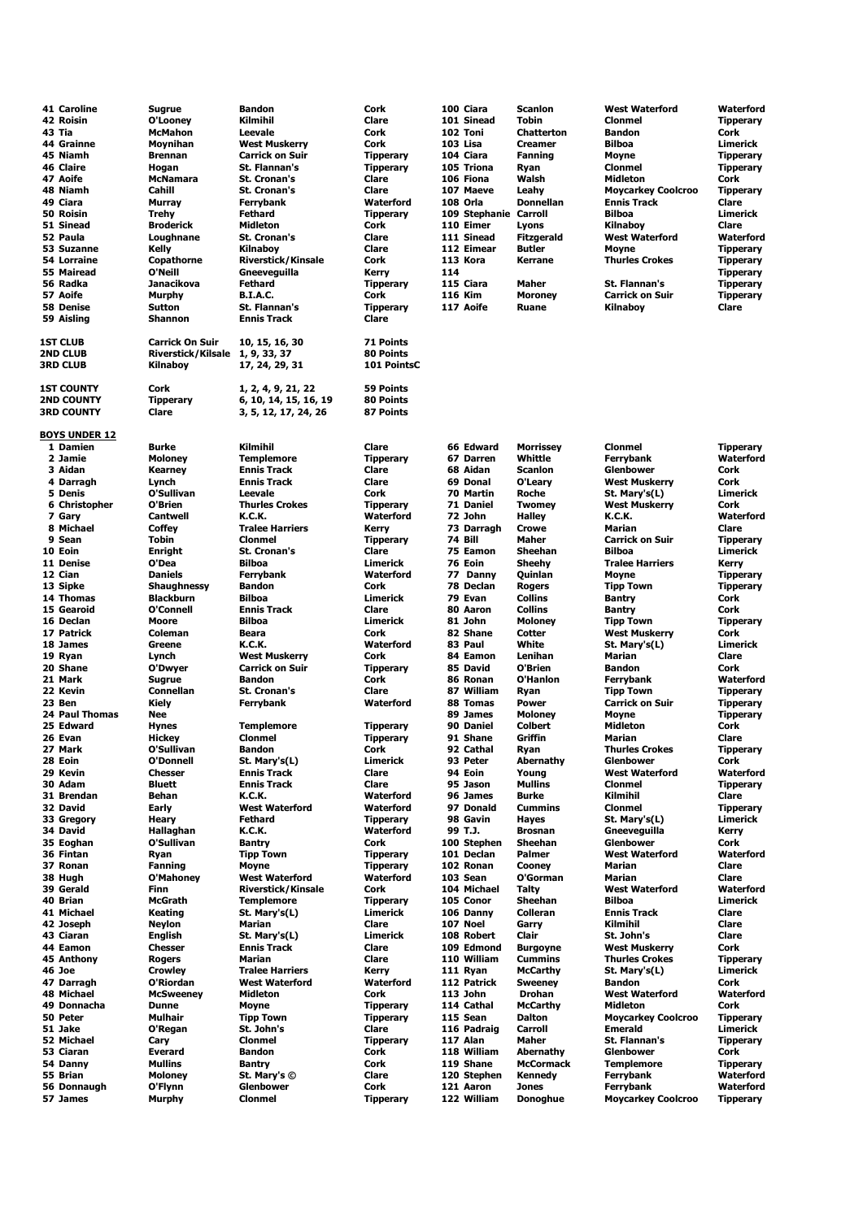|        | 41 Caroline          | Sugrue                    | <b>Bandon</b>             | Cork             |     | 100 Ciara             | <b>Scanlon</b>    | <b>West Waterford</b>     | Waterford        |
|--------|----------------------|---------------------------|---------------------------|------------------|-----|-----------------------|-------------------|---------------------------|------------------|
|        | 42 Roisin            | O'Looney                  | Kilmihil                  | Clare            |     | 101 Sinead            | <b>Tobin</b>      | <b>Clonmel</b>            | <b>Tipperary</b> |
| 43 Tia |                      | <b>McMahon</b>            | Leevale                   | Cork             |     | 102 Toni              | <b>Chatterton</b> | <b>Bandon</b>             | Cork             |
|        | 44 Grainne           | <b>Movnihan</b>           | <b>West Muskerry</b>      | Cork             |     | 103 Lisa              | <b>Creamer</b>    | <b>Bilboa</b>             | Limerick         |
|        | 45 Niamh             | <b>Brennan</b>            | <b>Carrick on Suir</b>    | <b>Tipperary</b> |     | 104 Ciara             | <b>Fanning</b>    | <b>Moyne</b>              | <b>Tipperary</b> |
|        | <b>46 Claire</b>     | Hogan                     | <b>St. Flannan's</b>      | <b>Tipperary</b> |     | 105 Triona            | Ryan              | <b>Clonmel</b>            | <b>Tipperary</b> |
|        | 47 Aoife             | McNamara                  | <b>St. Cronan's</b>       | Clare            |     | 106 Fiona             | Walsh             | Midleton                  | Cork             |
|        | 48 Niamh             | Cahill                    | <b>St. Cronan's</b>       | Clare            |     | 107 Maeve             | Leahy             | <b>Moycarkey Coolcroo</b> | <b>Tipperary</b> |
|        | 49 Ciara             | <b>Murray</b>             | <b>Ferrybank</b>          | Waterford        |     | 108 Orla              | <b>Donnellan</b>  | <b>Ennis Track</b>        | <b>Clare</b>     |
|        |                      |                           |                           |                  |     |                       |                   | <b>Bilboa</b>             | Limerick         |
|        | 50 Roisin            | <b>Trehy</b>              | <b>Fethard</b>            | <b>Tipperary</b> |     | 109 Stephanie Carroll |                   |                           |                  |
|        | 51 Sinead            | <b>Broderick</b>          | <b>Midleton</b>           | Cork             |     | 110 Eimer             | Lyons             | Kilnaboy                  | <b>Clare</b>     |
|        | 52 Paula             | Loughnane                 | <b>St. Cronan's</b>       | Clare            |     | 111 Sinead            | <b>Fitzgerald</b> | <b>West Waterford</b>     | <b>Waterford</b> |
|        | 53 Suzanne           | Kelly                     | <b>Kilnabov</b>           | Clare            |     | 112 Eimear            | <b>Butler</b>     | <b>Moyne</b>              | <b>Tipperary</b> |
|        | 54 Lorraine          | Copathorne                | <b>Riverstick/Kinsale</b> | Cork             |     | 113 Kora              | Kerrane           | <b>Thurles Crokes</b>     | <b>Tipperary</b> |
|        | 55 Mairead           | O'Neill                   | Gneeveguilla              | Kerry            | 114 |                       |                   |                           | <b>Tipperary</b> |
|        | 56 Radka             | Janacikova                | <b>Fethard</b>            | <b>Tipperary</b> |     | 115 Ciara             | <b>Maher</b>      | <b>St. Flannan's</b>      | <b>Tipperary</b> |
|        | 57 Aoife             |                           | <b>B.I.A.C.</b>           | Cork             |     | 116 Kim               | <b>Moroney</b>    | <b>Carrick on Suir</b>    | <b>Tipperary</b> |
|        |                      | <b>Murphy</b>             |                           |                  |     |                       |                   |                           |                  |
|        | <b>58 Denise</b>     | <b>Sutton</b>             | <b>St. Flannan's</b>      | <b>Tipperary</b> |     | 117 Aoife             | Ruane             | Kilnaboy                  | Clare            |
|        | 59 Aisling           | <b>Shannon</b>            | <b>Ennis Track</b>        | Clare            |     |                       |                   |                           |                  |
|        |                      |                           |                           |                  |     |                       |                   |                           |                  |
|        | <b>1ST CLUB</b>      | <b>Carrick On Suir</b>    | 10, 15, 16, 30            | 71 Points        |     |                       |                   |                           |                  |
|        | 2ND CLUB             | <b>Riverstick/Kilsale</b> | 1, 9, 33, 37              | 80 Points        |     |                       |                   |                           |                  |
|        | 3RD CLUB             | Kilnaboy                  | 17, 24, 29, 31            | 101 PointsC      |     |                       |                   |                           |                  |
|        |                      |                           |                           |                  |     |                       |                   |                           |                  |
|        | <b>1ST COUNTY</b>    | <b>Cork</b>               | 1, 2, 4, 9, 21, 22        | <b>59 Points</b> |     |                       |                   |                           |                  |
|        |                      |                           |                           |                  |     |                       |                   |                           |                  |
|        | <b>2ND COUNTY</b>    | <b>Tipperary</b>          | 6, 10, 14, 15, 16, 19     | 80 Points        |     |                       |                   |                           |                  |
|        | <b>3RD COUNTY</b>    | Clare                     | 3, 5, 12, 17, 24, 26      | 87 Points        |     |                       |                   |                           |                  |
|        |                      |                           |                           |                  |     |                       |                   |                           |                  |
|        | <u>BOYS UNDER 12</u> |                           |                           |                  |     |                       |                   |                           |                  |
|        | 1 Damien             | Burke                     | Kilmihil                  | Clare            |     | 66 Edward             | <b>Morrissey</b>  | <b>Clonmel</b>            | <b>Tipperary</b> |
|        | 2 Jamie              | <b>Moloney</b>            | <b>Templemore</b>         | <b>Tipperary</b> |     | 67 Darren             | Whittle           | Ferrybank                 | <b>Waterford</b> |
|        | 3 Aidan              | Kearney                   | <b>Ennis Track</b>        | Clare            |     | 68 Aidan              | <b>Scanlon</b>    | <b>Glenbower</b>          | <b>Cork</b>      |
|        |                      |                           |                           |                  |     |                       |                   |                           |                  |
|        | 4 Darragh            | Lynch                     | <b>Ennis Track</b>        | Clare            |     | 69 Donal              | O'Leary           | <b>West Muskerry</b>      | Cork             |
|        | 5 Denis              | O'Sullivan                | Leevale                   | Cork             |     | 70 Martin             | Roche             | St. Mary's(L)             | Limerick         |
|        | 6 Christopher        | O'Brien                   | <b>Thurles Crokes</b>     | <b>Tipperary</b> |     | 71 Daniel             | <b>Twomey</b>     | <b>West Muskerry</b>      | Cork             |
|        | 7 Gary               | <b>Cantwell</b>           | <b>K.C.K.</b>             | Waterford        |     | 72 John               | <b>Halley</b>     | <b>K.C.K.</b>             | <b>Waterford</b> |
|        | 8 Michael            | <b>Coffey</b>             | <b>Tralee Harriers</b>    | Kerry            |     | 73 Darragh            | <b>Crowe</b>      | Marian                    | <b>Clare</b>     |
|        | 9 Sean               | Tobin                     | <b>Clonmel</b>            | <b>Tipperary</b> |     | 74 Bill               | <b>Maher</b>      | <b>Carrick on Suir</b>    | <b>Tipperary</b> |
|        | 10 Eoin              | Enright                   | <b>St. Cronan's</b>       | Clare            |     | 75 Eamon              | Sheehan           | <b>Bilboa</b>             | Limerick         |
|        | 11 Denise            | O'Dea                     | <b>Bilboa</b>             | <b>Limerick</b>  |     | 76 Eoin               | Sheehy            | <b>Tralee Harriers</b>    | Kerry            |
|        |                      |                           |                           |                  |     |                       |                   |                           |                  |
|        | 12 Cian              | <b>Daniels</b>            | <b>Ferrybank</b>          | Waterford        |     | 77 Danny              | Quinlan           | <b>Moyne</b>              | <b>Tipperary</b> |
|        | 13 Sipke             | <b>Shaughnessy</b>        | <b>Bandon</b>             | Cork             |     | 78 Declan             | <b>Rogers</b>     | <b>Tipp Town</b>          | <b>Tipperary</b> |
|        | 14 Thomas            | <b>Blackburn</b>          | <b>Bilboa</b>             | Limerick         |     | 79 Evan               | <b>Collins</b>    | <b>Bantry</b>             | Cork             |
|        | 15 Gearoid           | O'Connell                 | <b>Ennis Track</b>        | Clare            |     | 80 Aaron              | <b>Collins</b>    | <b>Bantry</b>             | Cork             |
|        | 16 Declan            | Moore                     | <b>Bilboa</b>             | Limerick         |     | 81 John               | <b>Moloney</b>    | <b>Tipp Town</b>          | <b>Tipperary</b> |
|        | 17 Patrick           | Coleman                   | <b>Beara</b>              | Cork             |     | 82 Shane              | Cotter            | <b>West Muskerry</b>      | Cork             |
|        | 18 James             | Greene                    | K.C.K.                    | Waterford        |     | 83 Paul               | White             | St. Mary's(L)             | Limerick         |
|        |                      |                           |                           |                  |     |                       |                   |                           |                  |
|        | 19 Ryan              | Lynch                     | <b>West Muskerry</b>      | Cork             |     | 84 Eamon              | Lenihan           | <b>Marian</b>             | Clare            |
|        | 20 Shane             | O'Dwyer                   | <b>Carrick on Suir</b>    | <b>Tipperary</b> |     | 85 David              | O'Brien           | <b>Bandon</b>             | Cork             |
|        | 21 Mark              | <b>Sugrue</b>             | <b>Bandon</b>             | Cork             |     | 86 Ronan              | O'Hanlon          | Ferrybank                 | <b>Waterford</b> |
|        | 22 Kevin             | <b>Connellan</b>          | St. Cronan's              | Clare            |     | 87 William            | Ryan              | <b>Tipp Town</b>          | <b>Tipperary</b> |
|        | 23 Ben               | Kiely                     | <b>Ferrybank</b>          | <b>Waterford</b> |     | 88 Tomas              | <b>Power</b>      | <b>Carrick on Suir</b>    | <b>Tipperary</b> |
|        | 24 Paul Thomas       | Nee                       |                           |                  |     | 89 James              | <b>Moloney</b>    | <b>Moyne</b>              | <b>Tipperary</b> |
|        | 25 Edward            | <b>Hynes</b>              | <b>Templemore</b>         | <b>Tipperary</b> |     | 90 Daniel             | <b>Colbert</b>    | <b>Midleton</b>           | Cork             |
|        | 26 Evan              | <b>Hickey</b>             | <b>Clonmel</b>            | <b>Tipperary</b> |     | 91 Shane              | Griffin           | Marian                    | <b>Clare</b>     |
|        | 27 Mark              | O'Sullivan                | <b>Bandon</b>             | Cork             |     | 92 Cathal             | Ryan              | <b>Thurles Crokes</b>     | <b>Tipperary</b> |
|        |                      |                           |                           |                  |     |                       |                   |                           |                  |
|        | 28 Eoin              | O'Donnell                 | St. Mary's(L)             | Limerick         |     | 93 Peter              | Abernathy         | <b>Glenbower</b>          | Cork             |
|        | 29 Kevin             | <b>Chesser</b>            | <b>Ennis Track</b>        | Clare            |     | 94 Eoin               | Young             | <b>West Waterford</b>     | Waterford        |
|        | 30 Adam              | <b>Bluett</b>             | <b>Ennis Track</b>        | Clare            |     | 95 Jason              | <b>Mullins</b>    | <b>Clonmel</b>            | <b>Tipperary</b> |
|        | 31 Brendan           | <b>Behan</b>              | <b>K.C.K.</b>             | Waterford        |     | 96 James              | <b>Burke</b>      | Kilmihil                  | Clare            |
|        | 32 David             | Early                     | <b>West Waterford</b>     | Waterford        |     | 97 Donald             | <b>Cummins</b>    | <b>Clonmel</b>            | <b>Tipperary</b> |
|        | 33 Gregory           | Heary                     | <b>Fethard</b>            | <b>Tipperary</b> |     | 98 Gavin              | Hayes             | St. Mary's(L)             | Limerick         |
|        | 34 David             | Hallaghan                 | K.C.K.                    | Waterford        |     | 99 T.J.               | <b>Brosnan</b>    | Gneeveguilla              | Kerry            |
|        | 35 Eoghan            | O'Sullivan                | <b>Bantry</b>             | Cork             |     | 100 Stephen           | <b>Sheehan</b>    | Glenbower                 | Cork             |
|        | 36 Fintan            |                           |                           |                  |     | 101 Declan            | Palmer            | <b>West Waterford</b>     | <b>Waterford</b> |
|        |                      | Ryan                      | <b>Tipp Town</b>          | <b>Tipperary</b> |     |                       |                   |                           |                  |
|        | 37 Ronan             | <b>Fanning</b>            | Moyne                     | <b>Tipperary</b> |     | 102 Ronan             | Cooney            | <b>Marian</b>             | <b>Clare</b>     |
|        | 38 Hugh              | O'Mahoney                 | <b>West Waterford</b>     | Waterford        |     | 103 Sean              | O'Gorman          | Marian                    | Clare            |
|        | 39 Gerald            | Finn                      | <b>Riverstick/Kinsale</b> | Cork             |     | 104 Michael           | <b>Talty</b>      | <b>West Waterford</b>     | <b>Waterford</b> |
|        | 40 Brian             | <b>McGrath</b>            | <b>Templemore</b>         | <b>Tipperary</b> |     | 105 Conor             | <b>Sheehan</b>    | <b>Bilboa</b>             | Limerick         |
|        | 41 Michael           | Keating                   | St. Mary's(L)             | Limerick         |     | 106 Danny             | <b>Colleran</b>   | <b>Ennis Track</b>        | Clare            |
|        | 42 Joseph            | <b>Neylon</b>             | Marian                    | Clare            |     | 107 Noel              | Garry             | Kilmihil                  | Clare            |
|        | 43 Ciaran            | English                   | St. Mary's(L)             | <b>Limerick</b>  |     | 108 Robert            | Clair             | St. John's                | <b>Clare</b>     |
|        | 44 Eamon             | <b>Chesser</b>            | <b>Ennis Track</b>        | Clare            |     | 109 Edmond            |                   | <b>West Muskerry</b>      | Cork             |
|        |                      |                           |                           |                  |     |                       | <b>Burgoyne</b>   |                           |                  |
|        | 45 Anthony           | <b>Rogers</b>             | Marian                    | Clare            |     | 110 William           | <b>Cummins</b>    | <b>Thurles Crokes</b>     | <b>Tipperary</b> |
|        | 46 Joe               | <b>Crowley</b>            | <b>Tralee Harriers</b>    | Kerry            |     | 111 Ryan              | <b>McCarthy</b>   | St. Mary's(L)             | Limerick         |
|        | 47 Darragh           | O'Riordan                 | <b>West Waterford</b>     | Waterford        |     | 112 Patrick           | <b>Sweeney</b>    | <b>Bandon</b>             | Cork             |
|        | 48 Michael           | <b>McSweeney</b>          | <b>Midleton</b>           | Cork             |     | 113 John              | <b>Drohan</b>     | <b>West Waterford</b>     | <b>Waterford</b> |
|        | 49 Donnacha          | <b>Dunne</b>              | Moyne                     | <b>Tipperary</b> |     | 114 Cathal            | McCarthy          | Midleton                  | Cork             |
|        | 50 Peter             | <b>Mulhair</b>            | <b>Tipp Town</b>          | <b>Tipperary</b> |     | 115 Sean              | <b>Dalton</b>     | <b>Moycarkey Coolcroo</b> | <b>Tipperary</b> |
|        | 51 Jake              | O'Regan                   | St. John's                | Clare            |     | 116 Padraig           | <b>Carroll</b>    | <b>Emerald</b>            | Limerick         |
|        |                      |                           |                           |                  |     |                       |                   |                           |                  |
|        | 52 Michael           | Cary                      | <b>Clonmel</b>            | <b>Tipperary</b> |     | 117 Alan              | Maher             | St. Flannan's             | <b>Tipperary</b> |
|        | 53 Ciaran            | <b>Everard</b>            | <b>Bandon</b>             | Cork             |     | 118 William           | Abernathy         | Glenbower                 | Cork             |
|        | 54 Danny             | <b>Mullins</b>            | <b>Bantry</b>             | Cork             |     | 119 Shane             | <b>McCormack</b>  | <b>Templemore</b>         | <b>Tipperary</b> |
|        | 55 Brian             | <b>Moloney</b>            | St. Mary's ©              | Clare            |     | 120 Stephen           | Kennedy           | Ferrybank                 | Waterford        |
|        | 56 Donnaugh          | O'Flynn                   | Glenbower                 | Cork             |     | 121 Aaron             | <b>Jones</b>      | Ferrybank                 | Waterford        |
|        | 57 James             | <b>Murphy</b>             | <b>Clonmel</b>            | <b>Tipperary</b> |     | 122 William           | Donoghue          | <b>Moycarkey Coolcroo</b> | <b>Tipperary</b> |
|        |                      |                           |                           |                  |     |                       |                   |                           |                  |
|        |                      |                           |                           |                  |     |                       |                   |                           |                  |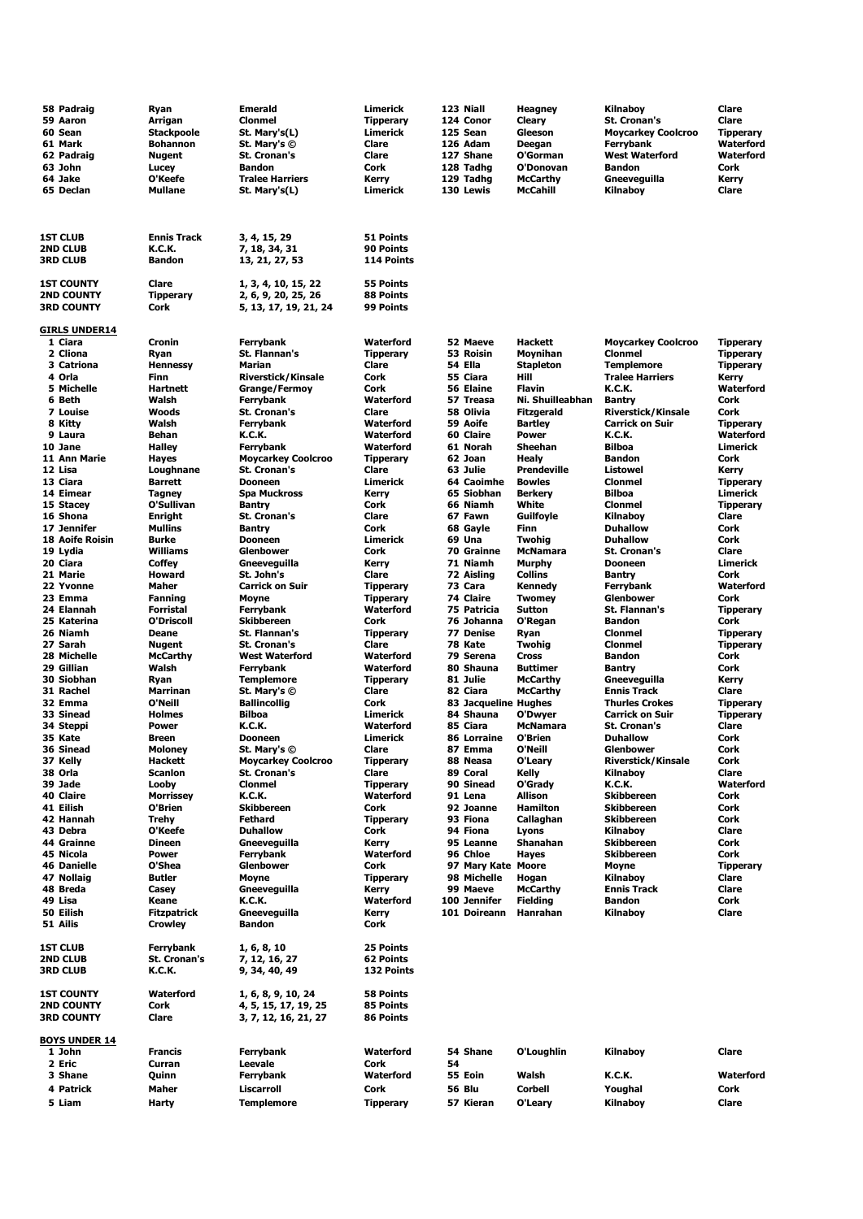| 58 Padraig                             | Ryan                      | <b>Emerald</b>                             | Limerick                  |    | 123 Niall               | Heagney                      | Kilnaboy                                            | Clare                     |
|----------------------------------------|---------------------------|--------------------------------------------|---------------------------|----|-------------------------|------------------------------|-----------------------------------------------------|---------------------------|
| 59 Aaron                               | Arrigan                   | <b>Clonmel</b>                             | <b>Tipperary</b>          |    | 124 Conor               | Cleary                       | St. Cronan's                                        | Clare                     |
| 60 Sean                                | <b>Stackpoole</b>         | St. Mary's(L)                              | Limerick                  |    | 125 Sean                | Gleeson                      | <b>Moycarkey Coolcroo</b>                           | <b>Tipperary</b>          |
| 61 Mark                                | Bohannon                  | St. Mary's ©                               | Clare                     |    | 126 Adam                | Deegan                       | Ferrybank                                           | Waterford                 |
| 62 Padraig<br>63 John                  | Nugent<br>Lucey           | <b>St. Cronan's</b><br><b>Bandon</b>       | Clare<br>Cork             |    | 127 Shane<br>128 Tadhg  | O'Gorman<br>O'Donovan        | <b>West Waterford</b><br><b>Bandon</b>              | Waterford<br>Cork         |
| 64 Jake                                | O'Keefe                   | <b>Tralee Harriers</b>                     | Kerry                     |    | 129 Tadhg               | <b>McCarthy</b>              | Gneeveguilla                                        | Kerry                     |
| 65 Declan                              | <b>Mullane</b>            | St. Mary's(L)                              | Limerick                  |    | 130 Lewis               | <b>McCahill</b>              | Kilnaboy                                            | Clare                     |
|                                        |                           |                                            |                           |    |                         |                              |                                                     |                           |
|                                        |                           |                                            |                           |    |                         |                              |                                                     |                           |
| <b>1ST CLUB</b>                        | <b>Ennis Track</b>        | 3, 4, 15, 29                               | 51 Points                 |    |                         |                              |                                                     |                           |
| <b>2ND CLUB</b>                        | K.C.K.                    | 7, 18, 34, 31                              | 90 Points                 |    |                         |                              |                                                     |                           |
| <b>3RD CLUB</b>                        | <b>Bandon</b>             | 13, 21, 27, 53                             | 114 Points                |    |                         |                              |                                                     |                           |
|                                        |                           |                                            |                           |    |                         |                              |                                                     |                           |
| <b>1ST COUNTY</b><br><b>2ND COUNTY</b> | Clare<br><b>Tipperary</b> | 1, 3, 4, 10, 15, 22<br>2, 6, 9, 20, 25, 26 | 55 Points<br>88 Points    |    |                         |                              |                                                     |                           |
| <b>3RD COUNTY</b>                      | Cork                      | 5, 13, 17, 19, 21, 24                      | 99 Points                 |    |                         |                              |                                                     |                           |
|                                        |                           |                                            |                           |    |                         |                              |                                                     |                           |
| <b>GIRLS UNDER14</b><br>1 Ciara        | Cronin                    | Ferrybank                                  | Waterford                 |    | 52 Maeve                | <b>Hackett</b>               | <b>Moycarkey Coolcroo</b>                           | <b>Tipperary</b>          |
| 2 Cliona                               | Ryan                      | St. Flannan's                              | <b>Tipperary</b>          |    | 53 Roisin               | Moynihan                     | <b>Clonmel</b>                                      | <b>Tipperary</b>          |
| 3 Catriona                             | <b>Hennessy</b>           | Marian                                     | Clare                     |    | 54 Ella                 | <b>Stapleton</b>             | <b>Templemore</b>                                   | Tipperary                 |
| 4 Orla                                 | Finn                      | <b>Riverstick/Kinsale</b>                  | Cork                      |    | 55 Ciara                | Hill                         | <b>Tralee Harriers</b>                              | Kerry                     |
| 5 Michelle                             | Hartnett                  | <b>Grange/Fermoy</b>                       | Cork                      |    | 56 Elaine               | <b>Flavin</b>                | K.C.K.                                              | <b>Waterford</b>          |
| 6 Beth                                 | Walsh                     | <b>Ferrybank</b>                           | Waterford                 |    | 57 Treasa               | Ni. Shuilleabhan             | <b>Bantry</b>                                       | Cork                      |
| 7 Louise<br>8 Kitty                    | Woods<br>Walsh            | <b>St. Cronan's</b><br><b>Ferrybank</b>    | Clare<br>Waterford        |    | 58 Olivia<br>59 Aoife   | Fitzgerald<br><b>Bartley</b> | <b>Riverstick/Kinsale</b><br><b>Carrick on Suir</b> | Cork<br><b>Tipperary</b>  |
| 9 Laura                                | Behan                     | K.C.K.                                     | Waterford                 |    | 60 Claire               | Power                        | <b>K.C.K.</b>                                       | Waterford                 |
| 10 Jane                                | <b>Halley</b>             | <b>Ferrybank</b>                           | Waterford                 |    | 61 Norah                | <b>Sheehan</b>               | <b>Bilboa</b>                                       | Limerick                  |
| 11 Ann Marie                           | Hayes                     | <b>Moycarkey Coolcroo</b>                  | <b>Tipperary</b>          |    | 62 Joan                 | Healy                        | <b>Bandon</b>                                       | Cork                      |
| 12 Lisa                                | Loughnane                 | <b>St. Cronan's</b>                        | Clare                     |    | 63 Julie                | <b>Prendeville</b>           | <b>Listowel</b>                                     | Kerry                     |
| 13 Ciara                               | <b>Barrett</b>            | <b>Dooneen</b>                             | Limerick                  |    | 64 Caoimhe              | <b>Bowles</b>                | <b>Clonmel</b>                                      | <b>Tipperary</b>          |
| 14 Eimear<br>15 Stacev                 | Tagney<br>O'Sullivan      | <b>Spa Muckross</b><br><b>Bantry</b>       | Kerry<br>Cork             |    | 65 Siobhan<br>66 Niamh  | <b>Berkery</b><br>White      | <b>Bilboa</b><br><b>Clonmel</b>                     | Limerick                  |
| 16 Shona                               | Enright                   | <b>St. Cronan's</b>                        | Clare                     |    | 67 Fawn                 | Guilfoyle                    | Kilnaboy                                            | <b>Tipperary</b><br>Clare |
| 17 Jennifer                            | Mullins                   | <b>Bantry</b>                              | Cork                      |    | 68 Gayle                | Finn                         | <b>Duhallow</b>                                     | Cork                      |
| <b>18 Aoife Roisin</b>                 | <b>Burke</b>              | <b>Dooneen</b>                             | Limerick                  |    | 69 Una                  | <b>Twohig</b>                | <b>Duhallow</b>                                     | Cork                      |
| 19 Lydia                               | Williams                  | Glenbower                                  | Cork                      |    | 70 Grainne              | <b>McNamara</b>              | <b>St. Cronan's</b>                                 | Clare                     |
| 20 Ciara                               | Coffey                    | Gneeveguilla                               | Kerry                     |    | 71 Niamh                | <b>Murphy</b>                | <b>Dooneen</b>                                      | Limerick                  |
| 21 Marie<br>22 Yvonne                  | Howard<br>Maher           | St. John's<br><b>Carrick on Suir</b>       | Clare<br><b>Tipperary</b> |    | 72 Aisling<br>73 Cara   | <b>Collins</b><br>Kennedy    | <b>Bantry</b><br>Ferrybank                          | Cork<br>Waterford         |
| 23 Emma                                | Fanning                   | <b>Moyne</b>                               | <b>Tipperary</b>          |    | 74 Claire               | <b>Twomey</b>                | Glenbower                                           | Cork                      |
| 24 Elannah                             | Forristal                 | <b>Ferrybank</b>                           | Waterford                 |    | 75 Patricia             | <b>Sutton</b>                | St. Flannan's                                       | <b>Tipperary</b>          |
| 25 Katerina                            | O'Driscoll                | <b>Skibbereen</b>                          | Cork                      |    | 76 Johanna              | O'Regan                      | <b>Bandon</b>                                       | Cork                      |
| 26 Niamh                               | Deane                     | St. Flannan's                              | <b>Tipperary</b>          |    | 77 Denise               | Ryan                         | <b>Clonmel</b>                                      | <b>Tipperary</b>          |
| 27 Sarah                               | Nugent                    | <b>St. Cronan's</b>                        | Clare                     |    | 78 Kate                 | Twohig                       | <b>Clonmel</b>                                      | <b>Tipperary</b>          |
| 28 Michelle<br>29 Gillian              | <b>McCarthy</b><br>Walsh  | <b>West Waterford</b><br>Ferrybank         | Waterford<br>Waterford    |    | 79 Serena<br>80 Shauna  | Cross<br><b>Buttimer</b>     | <b>Bandon</b><br>Bantry                             | Cork<br>Cork              |
| 30 Siobhan                             | Ryan                      | <b>Templemore</b>                          | <b>Tipperary</b>          |    | 81 Julie                | <b>McCarthy</b>              | Gneeveguilla                                        | Kerry                     |
| 31 Rachel                              | Marrinan                  | St. Mary's ©                               | Clare                     |    | 82 Ciara                | <b>McCarthy</b>              | <b>Ennis Track</b>                                  | Clare                     |
| 32 Emma                                | O'Neill                   | <b>Ballincollig</b>                        | Cork                      |    | 83 Jacqueline Hughes    |                              | <b>Thurles Crokes</b>                               | <b>Tipperary</b>          |
| 33 Sinead                              | <b>Holmes</b>             | Bilboa                                     | Limerick                  |    | 84 Shauna               | O'Dwyer                      | <b>Carrick on Suir</b>                              | <b>Tipperary</b>          |
| 34 Steppi<br>35 Kate                   | <b>Power</b>              | K.C.K.                                     | Waterford                 |    | 85 Ciara<br>86 Lorraine | McNamara<br>O'Brien          | <b>St. Cronan's</b>                                 | Clare                     |
| 36 Sinead                              | Breen<br>Moloney          | Dooneen<br>St. Mary's ©                    | Limerick<br>Clare         |    | 87 Emma                 | O'Neill                      | <b>Duhallow</b><br>Glenbower                        | Cork<br>Cork              |
| 37 Kelly                               | Hackett                   | <b>Moycarkey Coolcroo</b>                  | <b>Tipperary</b>          |    | 88 Neasa                | O'Leary                      | <b>Riverstick/Kinsale</b>                           | Cork                      |
| 38 Orla                                | Scanlon                   | <b>St. Cronan's</b>                        | Clare                     |    | 89 Coral                | Kelly                        | Kilnaboy                                            | Clare                     |
| 39 Jade                                | Looby                     | <b>Clonmel</b>                             | <b>Tipperary</b>          |    | 90 Sinead               | O'Grady                      | <b>K.C.K.</b>                                       | <b>Waterford</b>          |
| 40 Claire                              | <b>Morrissey</b>          | <b>K.C.K.</b>                              | Waterford                 |    | 91 Lena                 | Allison                      | <b>Skibbereen</b>                                   | Cork                      |
| 41 Eilish<br>42 Hannah                 | O'Brien<br>Trehy          | <b>Skibbereen</b><br>Fethard               | Cork<br><b>Tipperary</b>  |    | 92 Joanne<br>93 Fiona   | <b>Hamilton</b><br>Callaghan | <b>Skibbereen</b><br><b>Skibbereen</b>              | Cork<br>Cork              |
| 43 Debra                               | O'Keefe                   | <b>Duhallow</b>                            | Cork                      |    | 94 Fiona                | Lyons                        | Kilnaboy                                            | Clare                     |
| 44 Grainne                             | <b>Dineen</b>             | Gneevequilla                               | Kerry                     |    | 95 Leanne               | Shanahan                     | <b>Skibbereen</b>                                   | Cork                      |
| 45 Nicola                              | Power                     | <b>Ferrybank</b>                           | Waterford                 |    | 96 Chloe                | Hayes                        | <b>Skibbereen</b>                                   | Cork                      |
| <b>46 Danielle</b>                     | O'Shea                    | Glenbower                                  | Cork                      |    | 97 Mary Kate Moore      |                              | Moyne                                               | <b>Tipperary</b>          |
| 47 Nollaig<br>48 Breda                 | Butler<br>Casey           | Moyne<br>Gneeveguilla                      | <b>Tipperary</b><br>Kerry |    | 98 Michelle<br>99 Maeve | Hogan<br><b>McCarthy</b>     | Kilnaboy<br><b>Ennis Track</b>                      | Clare<br>Clare            |
| 49 Lisa                                | Keane                     | <b>K.C.K.</b>                              | Waterford                 |    | 100 Jennifer            | <b>Fielding</b>              | <b>Bandon</b>                                       | Cork                      |
| 50 Eilish                              | <b>Fitzpatrick</b>        | Gneevequilla                               | Kerry                     |    | 101 Doireann            | Hanrahan                     | Kilnaboy                                            | Clare                     |
| 51 Ailis                               | Crowley                   | <b>Bandon</b>                              | Cork                      |    |                         |                              |                                                     |                           |
|                                        |                           |                                            |                           |    |                         |                              |                                                     |                           |
| <b>1ST CLUB</b><br>2ND CLUB            | Ferrybank<br>St. Cronan's | 1, 6, 8, 10<br>7, 12, 16, 27               | 25 Points<br>62 Points    |    |                         |                              |                                                     |                           |
| <b>3RD CLUB</b>                        | K.C.K.                    | 9, 34, 40, 49                              | 132 Points                |    |                         |                              |                                                     |                           |
|                                        |                           |                                            |                           |    |                         |                              |                                                     |                           |
| <b>1ST COUNTY</b>                      | Waterford                 | 1, 6, 8, 9, 10, 24                         | 58 Points                 |    |                         |                              |                                                     |                           |
| <b>2ND COUNTY</b>                      | Cork                      | 4, 5, 15, 17, 19, 25                       | 85 Points                 |    |                         |                              |                                                     |                           |
| <b>3RD COUNTY</b>                      | Clare                     | 3, 7, 12, 16, 21, 27                       | 86 Points                 |    |                         |                              |                                                     |                           |
| <b>BOYS UNDER 14</b>                   |                           |                                            |                           |    |                         |                              |                                                     |                           |
| 1 John                                 | Francis                   | <b>Ferrybank</b>                           | Waterford                 |    | 54 Shane                | O'Loughlin                   | Kilnaboy                                            | Clare                     |
| 2 Eric                                 | Curran                    | Leevale                                    | Cork                      | 54 |                         |                              |                                                     |                           |
| 3 Shane                                | Quinn                     | Ferrybank                                  | Waterford                 |    | 55 Eoin                 | Walsh                        | <b>K.C.K.</b>                                       | Waterford                 |
| 4 Patrick                              | Maher                     | Liscarroll                                 | Cork                      |    | 56 Blu                  | <b>Corbell</b>               | Youghal                                             | Cork                      |
| 5 Liam                                 | Harty                     | <b>Templemore</b>                          | <b>Tipperary</b>          |    | 57 Kieran               | O'Leary                      | Kilnaboy                                            | Clare                     |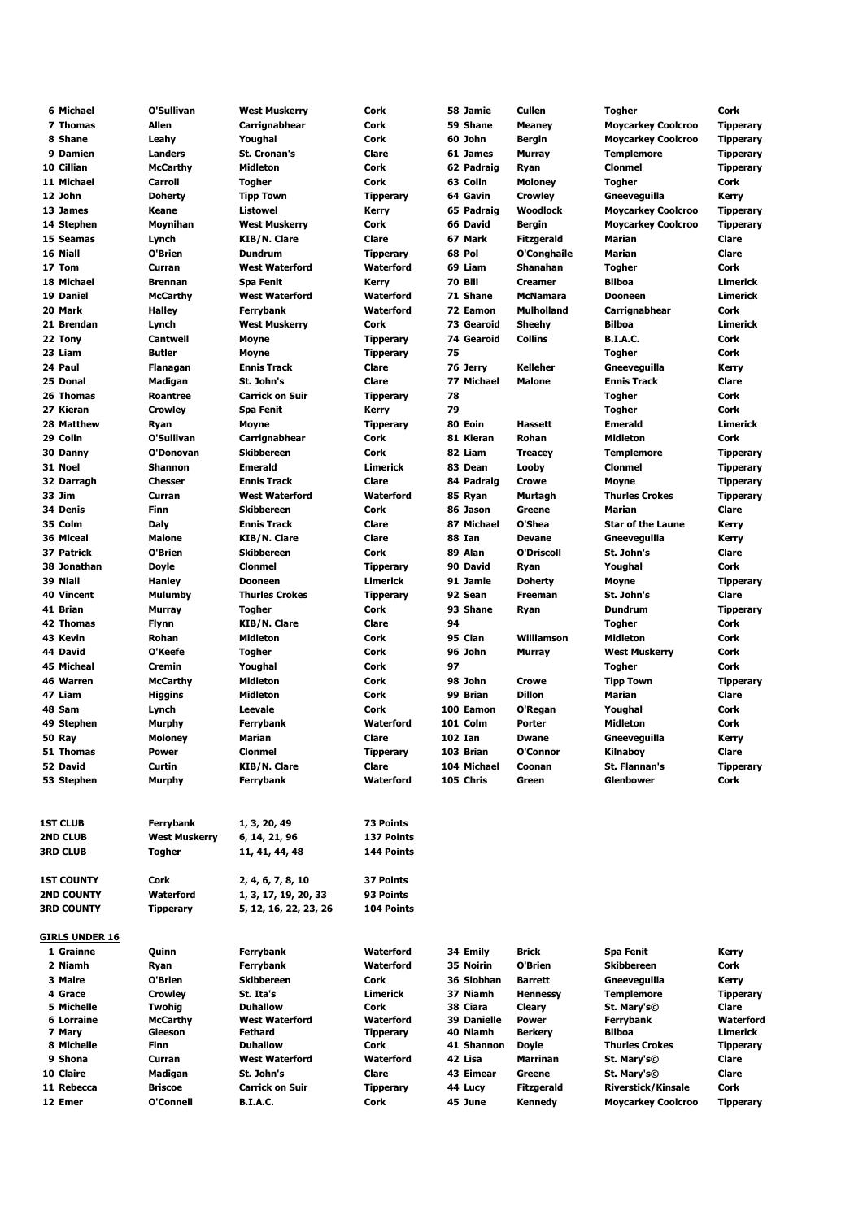| 6 Michael             | O'Sullivan           | West Muskerry          | Cork             | 58 Jamie           | Cullen            | <b>Togher</b>             | Cork             |
|-----------------------|----------------------|------------------------|------------------|--------------------|-------------------|---------------------------|------------------|
| 7 Thomas              | Allen                | Carrignabhear          | Cork             | 59 Shane           | <b>Meaney</b>     | <b>Moycarkey Coolcroo</b> | Tipperary        |
| 8 Shane               | Leahy                | Youghal                | Cork             | 60 John            | Bergin            | <b>Moycarkey Coolcroo</b> | <b>Tipperary</b> |
| 9 Damien              | <b>Landers</b>       | <b>St. Cronan's</b>    | Clare            | 61 James           | <b>Murray</b>     | <b>Templemore</b>         | <b>Tipperary</b> |
| 10 Cillian            | <b>McCarthy</b>      | <b>Midleton</b>        | Cork             | 62 Padraig         | Ryan              | <b>Clonmel</b>            | <b>Tipperary</b> |
| 11 Michael            |                      |                        | Cork             | 63 Colin           | <b>Moloney</b>    |                           |                  |
|                       | <b>Carroll</b>       | <b>Togher</b>          |                  |                    |                   | <b>Togher</b>             | Cork             |
| 12 John               | <b>Doherty</b>       | <b>Tipp Town</b>       | <b>Tipperary</b> | 64 Gavin           | <b>Crowley</b>    | Gneeveguilla              | Kerry            |
| 13 James              | Keane                | <b>Listowel</b>        | <b>Kerry</b>     | 65 Padraig         | Woodlock          | <b>Moycarkey Coolcroo</b> | <b>Tipperary</b> |
| 14 Stephen            | Moynihan             | <b>West Muskerry</b>   | Cork             | 66 David           | <b>Bergin</b>     | <b>Moycarkey Coolcroo</b> | <b>Tipperary</b> |
| 15 Seamas             | Lynch                | <b>KIB/N. Clare</b>    | Clare            | 67 Mark            | <b>Fitzgerald</b> | Marian                    | Clare            |
| 16 Niall              | O'Brien              | <b>Dundrum</b>         | <b>Tipperary</b> | 68 Pol             | O'Conghaile       | Marian                    | <b>Clare</b>     |
| 17 Tom                | Curran               | <b>West Waterford</b>  | Waterford        | 69 Liam            | Shanahan          | <b>Togher</b>             | Cork             |
| 18 Michael            | <b>Brennan</b>       | <b>Spa Fenit</b>       | Kerry            | 70 Bill            | <b>Creamer</b>    | Bilboa                    | Limerick         |
| 19 Daniel             | <b>McCarthy</b>      | <b>West Waterford</b>  | Waterford        | 71 Shane           | <b>McNamara</b>   | <b>Dooneen</b>            | Limerick         |
| 20 Mark               |                      |                        | Waterford        | 72 Eamon           | <b>Mulholland</b> |                           | Cork             |
|                       | <b>Halley</b>        | Ferrybank              |                  |                    |                   | Carrignabhear             |                  |
| 21 Brendan            | Lynch                | <b>West Muskerry</b>   | Cork             | 73 Gearoid         | Sheehy            | Bilboa                    | Limerick         |
| 22 Tony               | <b>Cantwell</b>      | <b>Moyne</b>           | <b>Tipperary</b> | 74 Gearoid         | <b>Collins</b>    | <b>B.I.A.C.</b>           | Cork             |
| 23 Liam               | <b>Butler</b>        | <b>Moyne</b>           | <b>Tipperary</b> | 75                 |                   | Togher                    | Cork             |
| 24 Paul               | Flanagan             | <b>Ennis Track</b>     | Clare            | 76 Jerry           | <b>Kelleher</b>   | Gneeveguilla              | Kerry            |
| 25 Donal              | Madigan              | St. John's             | Clare            | 77 Michael         | <b>Malone</b>     | <b>Ennis Track</b>        | Clare            |
| 26 Thomas             | Roantree             | <b>Carrick on Suir</b> | <b>Tipperary</b> | 78                 |                   | <b>Togher</b>             | Cork             |
| 27 Kieran             | <b>Crowley</b>       | <b>Spa Fenit</b>       | <b>Kerry</b>     | 79                 |                   | <b>Togher</b>             | Cork             |
| 28 Matthew            |                      |                        |                  | 80 Eoin            | <b>Hassett</b>    | <b>Emerald</b>            | Limerick         |
|                       | Ryan                 | <b>Moyne</b>           | <b>Tipperary</b> |                    |                   |                           |                  |
| 29 Colin              | O'Sullivan           | Carrignabhear          | Cork             | 81 Kieran          | <b>Rohan</b>      | Midleton                  | Cork             |
| 30 Danny              | O'Donovan            | <b>Skibbereen</b>      | <b>Cork</b>      | 82 Liam            | <b>Treacey</b>    | <b>Templemore</b>         | <b>Tipperary</b> |
| 31 Noel               | <b>Shannon</b>       | <b>Emerald</b>         | <b>Limerick</b>  | 83 Dean            | Looby             | <b>Clonmel</b>            | <b>Tipperary</b> |
| 32 Darragh            | <b>Chesser</b>       | <b>Ennis Track</b>     | Clare            | 84 Padraig         | <b>Crowe</b>      | Moyne                     | <b>Tipperary</b> |
| 33 Jim                | Curran               | <b>West Waterford</b>  | Waterford        | 85 Ryan            | Murtagh           | <b>Thurles Crokes</b>     | <b>Tipperary</b> |
| 34 Denis              | <b>Finn</b>          | <b>Skibbereen</b>      | <b>Cork</b>      | 86 Jason           | Greene            | <b>Marian</b>             | Clare            |
| 35 Colm               | Daly                 | <b>Ennis Track</b>     | Clare            | 87 Michael         | O'Shea            | <b>Star of the Laune</b>  | Kerry            |
| 36 Miceal             | <b>Malone</b>        | KIB/N. Clare           | Clare            | 88 Ian             | <b>Devane</b>     | Gneeveguilla              | Kerry            |
|                       |                      |                        |                  |                    |                   |                           |                  |
| 37 Patrick            | O'Brien              | <b>Skibbereen</b>      | Cork             | 89 Alan            | <b>O'Driscoll</b> | St. John's                | <b>Clare</b>     |
| 38 Jonathan           | <b>Doyle</b>         | <b>Clonmel</b>         | <b>Tipperary</b> | 90 David           | Ryan              | Youghal                   | Cork             |
| 39 Niall              | <b>Hanley</b>        | <b>Dooneen</b>         | <b>Limerick</b>  | 91 Jamie           | <b>Doherty</b>    | Moyne                     | <b>Tipperary</b> |
| 40 Vincent            | Mulumby              | <b>Thurles Crokes</b>  | <b>Tipperary</b> | 92 Sean            | <b>Freeman</b>    | St. John's                | Clare            |
| 41 Brian              | <b>Murray</b>        | <b>Togher</b>          | Cork             | 93 Shane           | Ryan              | Dundrum                   | <b>Tipperary</b> |
| <b>42 Thomas</b>      | <b>Flynn</b>         | <b>KIB/N. Clare</b>    | Clare            | 94                 |                   | Togher                    | Cork             |
| 43 Kevin              | Rohan                | Midleton               | Cork             | 95 Cian            | Williamson        | Midleton                  | Cork             |
| 44 David              | O'Keefe              | Togher                 | Cork             | 96 John            | <b>Murray</b>     | <b>West Muskerry</b>      | Cork             |
|                       |                      |                        |                  |                    |                   |                           |                  |
| <b>45 Micheal</b>     | Cremin               | Youghal                | Cork             | 97                 |                   | <b>Togher</b>             | Cork             |
| 46 Warren             | <b>McCarthy</b>      | Midleton               | Cork             | 98 John            | Crowe             | <b>Tipp Town</b>          | Tipperary        |
| 47 Liam               | <b>Higgins</b>       | <b>Midleton</b>        | Cork             | 99 Brian           | <b>Dillon</b>     | Marian                    | Clare            |
| 48 Sam                | Lynch                | Leevale                | Cork             | 100 Eamon          | O'Regan           | Youghal                   | Cork             |
| 49 Stephen            | Murphy               | <b>Ferrybank</b>       | Waterford        | 101 Colm           | Porter            | Midleton                  | Cork             |
| 50 Ray                | Moloney              | Marian                 | Clare            | <b>102 Ian</b>     | <b>Dwane</b>      | Gneeveguilla              | Kerry            |
| 51 Thomas             | <b>Power</b>         | Clonmel                | <b>Tipperary</b> | 103 Brian          | O'Connor          | Kilnaboy                  | Clare            |
| 52 David              | Curtin               | <b>KIB/N. Clare</b>    | Clare            | 104 Michael        | Coonan            | St. Flannan's             | <b>Tipperary</b> |
|                       |                      |                        |                  |                    |                   |                           |                  |
| 53 Stephen            | Murphy               | Ferrybank              | Waterford        | 105 Chris          | Green             | <b>Glenbower</b>          | Cork             |
| 1ST CLUB              | Ferrybank            | 1, 3, 20, 49           | 73 Points        |                    |                   |                           |                  |
| <b>2ND CLUB</b>       | <b>West Muskerry</b> | 6, 14, 21, 96          | 137 Points       |                    |                   |                           |                  |
| <b>3RD CLUB</b>       |                      |                        | 144 Points       |                    |                   |                           |                  |
|                       | Togher               | 11, 41, 44, 48         |                  |                    |                   |                           |                  |
|                       |                      |                        |                  |                    |                   |                           |                  |
| 1ST COUNTY            | Cork                 | 2, 4, 6, 7, 8, 10      | 37 Points        |                    |                   |                           |                  |
| 2ND COUNTY            | Waterford            | 1, 3, 17, 19, 20, 33   | 93 Points        |                    |                   |                           |                  |
| 3RD COUNTY            | <b>Tipperary</b>     | 5, 12, 16, 22, 23, 26  | 104 Points       |                    |                   |                           |                  |
| <u>GIRLS UNDER 16</u> |                      |                        |                  |                    |                   |                           |                  |
|                       |                      |                        |                  |                    |                   |                           |                  |
| 1 Grainne             | Quinn                | Ferrybank              | Waterford        | 34 Emily           | Brick             | Spa Fenit                 | Kerry            |
| 2 Niamh               | Ryan                 | <b>Ferrybank</b>       | Waterford        | 35 Noirin          | O'Brien           | Skibbereen                | Cork             |
| 3 Maire               | O'Brien              | <b>Skibbereen</b>      | Cork             | 36 Siobhan         | Barrett           | Gneeveguilla              | Kerry            |
| 4 Grace               | <b>Crowley</b>       | St. Ita's              | Limerick         | 37 Niamh           | <b>Hennessy</b>   | <b>Templemore</b>         | <b>Tipperary</b> |
| 5 Michelle            | Twohig               | <b>Duhallow</b>        | Cork             | 38 Ciara           | Cleary            | St. Mary's©               | Clare            |
| 6 Lorraine            | <b>McCarthy</b>      | <b>West Waterford</b>  | Waterford        | <b>39 Danielle</b> | Power             | Ferrybank                 | Waterford        |
| 7 Mary                | Gleeson              | Fethard                | <b>Tipperary</b> | 40 Niamh           | <b>Berkery</b>    | Bilboa                    | Limerick         |
| 8 Michelle            | Finn                 | <b>Duhallow</b>        | Cork             | 41 Shannon         | Doyle             | Thurles Crokes            | Tipperary        |
| 9 Shona               | Curran               | <b>West Waterford</b>  | Waterford        | 42 Lisa            | Marrinan          | St. Mary's©               | Clare            |
| 10 Claire             | Madigan              | St. John's             | Clare            | 43 Eimear          | Greene            | St. Mary's©               | Clare            |
| 11 Rebecca            | <b>Briscoe</b>       |                        |                  |                    |                   |                           | Cork             |
|                       |                      | <b>Carrick on Suir</b> | <b>Tipperary</b> | 44 Lucy            | Fitzgerald        | <b>Riverstick/Kinsale</b> |                  |
| 12 Emer               | O'Connell            | <b>B.I.A.C.</b>        | Cork             | 45 June            | Kennedy           | <b>Moycarkey Coolcroo</b> | <b>Tipperary</b> |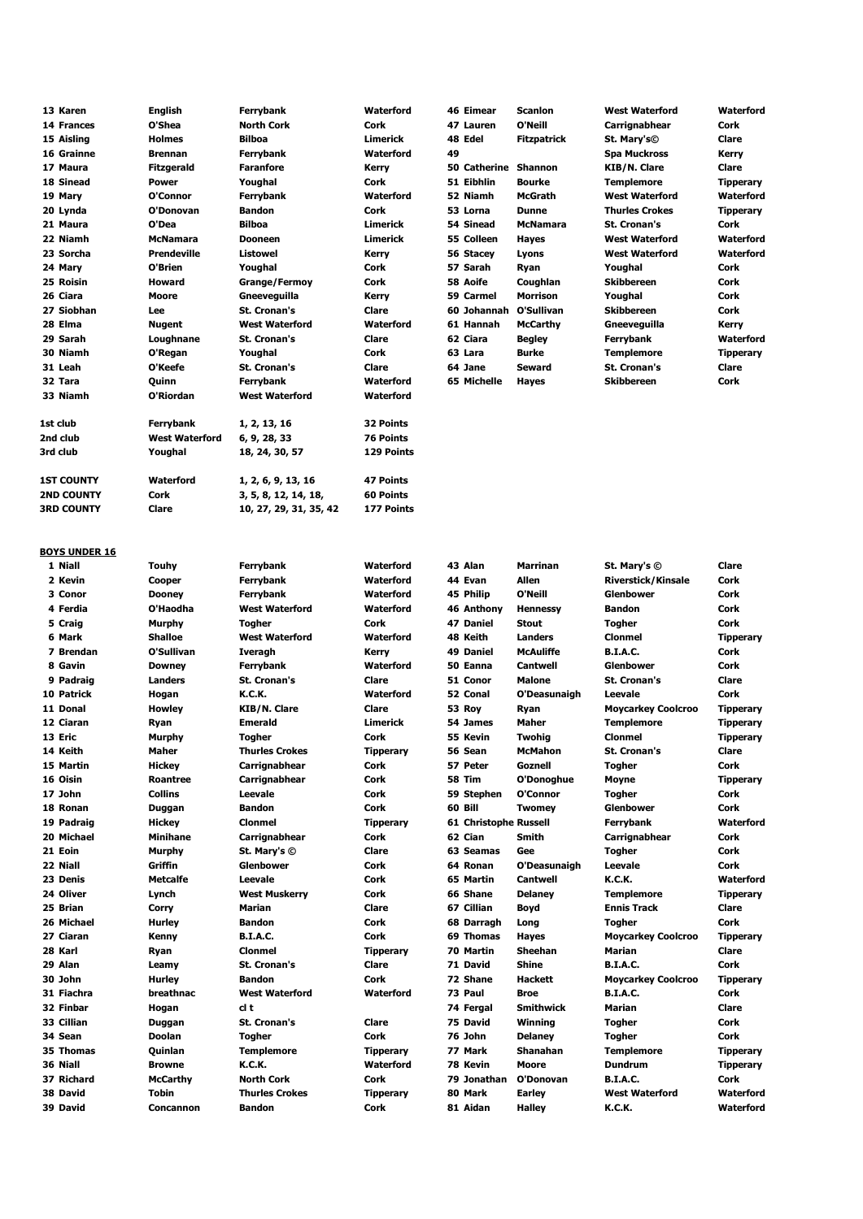| 13 Karen          | <b>English</b>        | <b>Ferrybank</b>       | Waterford        | <b>46 Eimear</b>            | <b>Scanlon</b>     | <b>West Waterford</b> | Waterford        |
|-------------------|-----------------------|------------------------|------------------|-----------------------------|--------------------|-----------------------|------------------|
| 14 Frances        | O'Shea                | <b>North Cork</b>      | Cork             | 47 Lauren                   | O'Neill            | Carrignabhear         | Cork             |
| 15 Aisling        | <b>Holmes</b>         | <b>Bilboa</b>          | <b>Limerick</b>  | 48 Edel                     | <b>Fitzpatrick</b> | St. Mary's©           | Clare            |
| 16 Grainne        | <b>Brennan</b>        | Ferrybank              | Waterford        | 49                          |                    | <b>Spa Muckross</b>   | Kerry            |
| 17 Maura          | <b>Fitzgerald</b>     | <b>Faranfore</b>       | Kerry            | <b>50 Catherine Shannon</b> |                    | <b>KIB/N. Clare</b>   | Clare            |
| 18 Sinead         | <b>Power</b>          | Youghal                | Cork             | 51 Eibhlin                  | <b>Bourke</b>      | <b>Templemore</b>     | <b>Tipperary</b> |
| 19 Mary           | O'Connor              | Ferrybank              | <b>Waterford</b> | 52 Niamh                    | <b>McGrath</b>     | <b>West Waterford</b> | Waterford        |
| 20 Lynda          | O'Donovan             | <b>Bandon</b>          | <b>Cork</b>      | 53 Lorna                    | <b>Dunne</b>       | <b>Thurles Crokes</b> | <b>Tipperary</b> |
| 21 Maura          | O'Dea                 | <b>Bilboa</b>          | <b>Limerick</b>  | 54 Sinead                   | <b>McNamara</b>    | <b>St. Cronan's</b>   | Cork             |
| 22 Niamh          | <b>McNamara</b>       | <b>Dooneen</b>         | <b>Limerick</b>  | 55 Colleen                  | <b>Hayes</b>       | <b>West Waterford</b> | Waterford        |
| 23 Sorcha         | <b>Prendeville</b>    | <b>Listowel</b>        | Kerry            | 56 Stacey                   | Lyons              | <b>West Waterford</b> | Waterford        |
| 24 Mary           | O'Brien               | Youghal                | Cork             | 57 Sarah                    | Ryan               | Youghal               | Cork             |
| 25 Roisin         | <b>Howard</b>         | <b>Grange/Fermoy</b>   | Cork             | 58 Aoife                    | Coughlan           | <b>Skibbereen</b>     | Cork             |
| 26 Ciara          | <b>Moore</b>          | Gneeveguilla           | Kerry            | 59 Carmel                   | <b>Morrison</b>    | Youghal               | Cork             |
| 27 Siobhan        | Lee                   | <b>St. Cronan's</b>    | Clare            | 60 Johannah                 | O'Sullivan         | <b>Skibbereen</b>     | Cork             |
| 28 Elma           | <b>Nugent</b>         | <b>West Waterford</b>  | Waterford        | 61 Hannah                   | <b>McCarthy</b>    | Gneeveguilla          | Kerry            |
| 29 Sarah          | Loughnane             | <b>St. Cronan's</b>    | Clare            | 62 Ciara                    | <b>Begley</b>      | Ferrybank             | Waterford        |
| 30 Niamh          | O'Regan               | Youghal                | <b>Cork</b>      | 63 Lara                     | <b>Burke</b>       | <b>Templemore</b>     | <b>Tipperary</b> |
| 31 Leah           | O'Keefe               | <b>St. Cronan's</b>    | Clare            | 64 Jane                     | <b>Seward</b>      | <b>St. Cronan's</b>   | Clare            |
| 32 Tara           | Quinn                 | Ferrybank              | <b>Waterford</b> | 65 Michelle                 | Hayes              | <b>Skibbereen</b>     | Cork             |
| 33 Niamh          | O'Riordan             | <b>West Waterford</b>  | <b>Waterford</b> |                             |                    |                       |                  |
| 1st club          | Ferrybank             | 1, 2, 13, 16           | 32 Points        |                             |                    |                       |                  |
| 2nd club          | <b>West Waterford</b> | 6, 9, 28, 33           | <b>76 Points</b> |                             |                    |                       |                  |
| 3rd club          | Youghal               | 18, 24, 30, 57         | 129 Points       |                             |                    |                       |                  |
| <b>1ST COUNTY</b> | Waterford             | 1, 2, 6, 9, 13, 16     | <b>47 Points</b> |                             |                    |                       |                  |
| <b>2ND COUNTY</b> | <b>Cork</b>           | 3, 5, 8, 12, 14, 18,   | 60 Points        |                             |                    |                       |                  |
| <b>3RD COUNTY</b> | Clare                 | 10, 27, 29, 31, 35, 42 | 177 Points       |                             |                    |                       |                  |

## **BOYS UNDER 16**

 **Niall Touhy Ferrybank Waterford 43 Alan Marrinan St. Mary's © Clare Kevin Cooper Ferrybank Waterford 44 Evan Allen Riverstick/Kinsale Cork Conor Dooney Ferrybank Waterford 45 Philip O'Neill Glenbower Cork Ferdia O'Haodha West Waterford Waterford 46 Anthony Hennessy Bandon Cork Craig Murphy Togher Cork 47 Daniel Stout Togher Cork Mark Shalloe West Waterford Waterford 48 Keith Landers Clonmel Tipperary Brendan O'Sullivan Iveragh Kerry 49 Daniel McAuliffe B.I.A.C. Cork Gavin Downey Ferrybank Waterford 50 Eanna Cantwell Glenbower Cork Padraig Landers St. Cronan's Clare 51 Conor Malone St. Cronan's Clare Patrick Hogan K.C.K. Waterford 52 Conal O'Deasunaigh Leevale Cork Donal Howley KIB/N. Clare Clare 53 Roy Ryan Moycarkey Coolcroo Tipperary Ciaran Ryan Emerald Limerick 54 James Maher Templemore Tipperary Eric Murphy Togher Cork 55 Kevin Twohig Clonmel Tipperary Keith Maher Thurles Crokes Tipperary 56 Sean McMahon St. Cronan's Clare Martin Hickey Carrignabhear Cork 57 Peter Goznell Togher Cork Oisin Roantree Carrignabhear Cork 58 Tim O'Donoghue Moyne Tipperary John Collins Leevale Cork 59 Stephen O'Connor Togher Cork Ronan Duggan Bandon Cork 60 Bill Twomey Glenbower Cork Padraig Hickey Clonmel Tipperary 61 Christopher Russell Ferrybank Waterford Michael Minihane Carrignabhear Cork 62 Cian Smith Carrignabhear Cork Eoin Murphy St. Mary's © Clare 63 Seamas Gee Togher Cork Niall Griffin Glenbower Cork 64 Ronan O'Deasunaigh Leevale Cork Denis Metcalfe Leevale Cork 65 Martin Cantwell K.C.K. Waterford Oliver Lynch West Muskerry Cork 66 Shane Delaney Templemore Tipperary Brian Corry Marian Clare 67 Cillian Boyd Ennis Track Clare Michael Hurley Bandon Cork 68 Darragh Long Togher Cork Ciaran Kenny B.I.A.C. Cork 69 Thomas Hayes Moycarkey Coolcroo Tipperary Karl Ryan Clonmel Tipperary 70 Martin Sheehan Marian Clare Alan Leamy St. Cronan's Clare 71 David Shine B.I.A.C. Cork John Hurley Bandon Cork 72 Shane Hackett Moycarkey Coolcroo Tipperary Fiachra breathnac West Waterford Waterford 73 Paul Broe B.I.A.C. Cork Finbar Hogan cl t 74 Fergal Smithwick Marian Clare Cillian Duggan St. Cronan's Clare 75 David Winning Togher Cork Sean Doolan Togher Cork 76 John Delaney Togher Cork Thomas Quinlan Templemore Tipperary 77 Mark Shanahan Templemore Tipperary Niall Browne K.C.K. Waterford 78 Kevin Moore Dundrum Tipperary Richard McCarthy North Cork Cork 79 Jonathan O'Donovan B.I.A.C. Cork David Tobin Thurles Crokes Tipperary 80 Mark Earley West Waterford Waterford David Concannon Bandon Cork 81 Aidan Halley K.C.K. Waterford**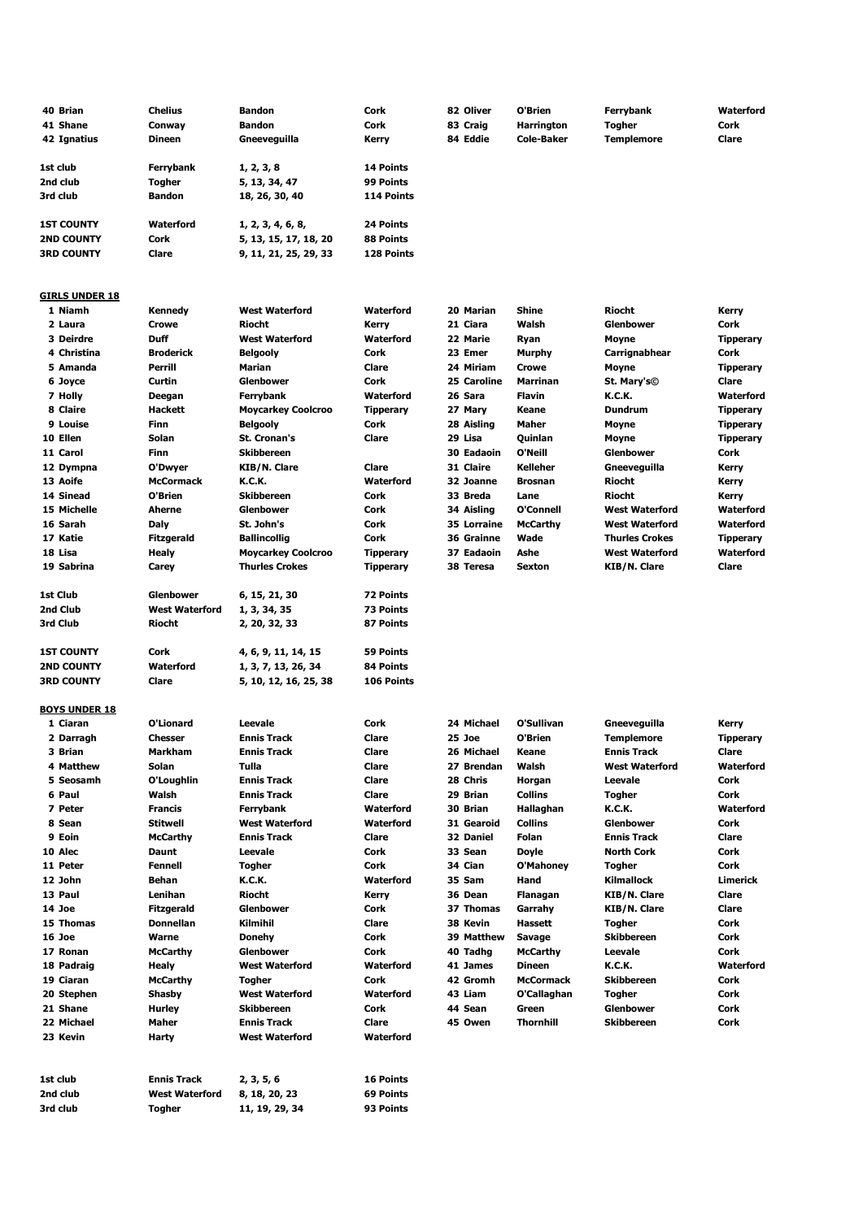| 40 Brian              | <b>Chelius</b>        | <b>Bandon</b>             | Cork             | 82 Oliver         | O'Brien           | Ferrybank             | Waterford        |
|-----------------------|-----------------------|---------------------------|------------------|-------------------|-------------------|-----------------------|------------------|
| 41 Shane              | Conway                | <b>Bandon</b>             | Cork             | 83 Craig          | <b>Harrington</b> | <b>Togher</b>         | Cork             |
| 42 Ignatius           | <b>Dineen</b>         | Gneeveguilla              | Kerry            | 84 Eddie          | <b>Cole-Baker</b> | <b>Templemore</b>     | Clare            |
|                       |                       |                           |                  |                   |                   |                       |                  |
| 1st club              |                       |                           | <b>14 Points</b> |                   |                   |                       |                  |
|                       | Ferrybank             | 1, 2, 3, 8                |                  |                   |                   |                       |                  |
| 2nd club              | Togher                | 5, 13, 34, 47             | 99 Points        |                   |                   |                       |                  |
| 3rd club              | <b>Bandon</b>         | 18, 26, 30, 40            | 114 Points       |                   |                   |                       |                  |
|                       |                       |                           |                  |                   |                   |                       |                  |
| <b>1ST COUNTY</b>     | <b>Waterford</b>      | 1, 2, 3, 4, 6, 8,         | 24 Points        |                   |                   |                       |                  |
| <b>2ND COUNTY</b>     | Cork                  | 5, 13, 15, 17, 18, 20     | 88 Points        |                   |                   |                       |                  |
| <b>3RD COUNTY</b>     | Clare                 | 9, 11, 21, 25, 29, 33     | 128 Points       |                   |                   |                       |                  |
|                       |                       |                           |                  |                   |                   |                       |                  |
|                       |                       |                           |                  |                   |                   |                       |                  |
| <b>GIRLS UNDER 18</b> |                       |                           |                  |                   |                   |                       |                  |
| 1 Niamh               | Kennedy               | <b>West Waterford</b>     | Waterford        | 20 Marian         | Shine             | Riocht                | Kerry            |
| 2 Laura               | <b>Crowe</b>          | <b>Riocht</b>             | Kerry            | 21 Ciara          | Walsh             | <b>Glenbower</b>      | Cork             |
|                       |                       |                           |                  |                   |                   |                       |                  |
| 3 Deirdre             | <b>Duff</b>           | <b>West Waterford</b>     | Waterford        | 22 Marie          | Ryan              | Moyne                 | <b>Tipperary</b> |
| 4 Christina           | <b>Broderick</b>      | <b>Belgooly</b>           | Cork             | 23 Emer           | Murphy            | Carrignabhear         | Cork             |
| 5 Amanda              | Perrill               | Marian                    | Clare            | 24 Miriam         | <b>Crowe</b>      | Moyne                 | <b>Tipperary</b> |
| 6 Joyce               | Curtin                | Glenbower                 | Cork             | 25 Caroline       | <b>Marrinan</b>   | St. Mary's©           | Clare            |
| 7 Holly               | Deegan                | Ferrybank                 | <b>Waterford</b> | 26 Sara           | <b>Flavin</b>     | K.C.K.                | Waterford        |
| 8 Claire              | Hackett               | <b>Moycarkey Coolcroo</b> | <b>Tipperary</b> | 27 Mary           | Keane             | <b>Dundrum</b>        | <b>Tipperary</b> |
| 9 Louise              | Finn                  | Belgooly                  | Cork             | 28 Aisling        | Maher             | Moyne                 | <b>Tipperary</b> |
|                       |                       |                           |                  |                   |                   |                       |                  |
| 10 Ellen              | Solan                 | <b>St. Cronan's</b>       | Clare            | 29 Lisa           | Quinlan           | Moyne                 | <b>Tipperary</b> |
| 11 Carol              | Finn                  | <b>Skibbereen</b>         |                  | <b>30 Eadaoin</b> | O'Neill           | Glenbower             | Cork             |
| 12 Dympna             | O'Dwyer               | KIB/N. Clare              | Clare            | 31 Claire         | <b>Kelleher</b>   | Gneeveguilla          | Kerry            |
| 13 Aoife              | <b>McCormack</b>      | K.C.K.                    | Waterford        | 32 Joanne         | <b>Brosnan</b>    | Riocht                | Kerry            |
| 14 Sinead             | O'Brien               | <b>Skibbereen</b>         | Cork             | 33 Breda          | Lane              | <b>Riocht</b>         | Kerry            |
| 15 Michelle           | Aherne                | <b>Glenbower</b>          | Cork             | 34 Aisling        | O'Connell         | <b>West Waterford</b> | Waterford        |
| 16 Sarah              | Daly                  | St. John's                | Cork             | 35 Lorraine       | <b>McCarthy</b>   | <b>West Waterford</b> | Waterford        |
| 17 Katie              | Fitzgerald            | <b>Ballincollig</b>       | Cork             | 36 Grainne        | Wade              | <b>Thurles Crokes</b> | <b>Tipperary</b> |
|                       |                       |                           |                  |                   |                   |                       |                  |
| 18 Lisa               | Healy                 | <b>Moycarkey Coolcroo</b> | <b>Tipperary</b> | 37 Eadaoin        | Ashe              | <b>West Waterford</b> | Waterford        |
| 19 Sabrina            | Carey                 | <b>Thurles Crokes</b>     | <b>Tipperary</b> | 38 Teresa         | Sexton            | KIB/N. Clare          | Clare            |
|                       |                       |                           |                  |                   |                   |                       |                  |
| 1st Club              | Glenbower             | 6, 15, 21, 30             | 72 Points        |                   |                   |                       |                  |
| 2nd Club              | <b>West Waterford</b> | 1, 3, 34, 35              | 73 Points        |                   |                   |                       |                  |
| 3rd Club              | Riocht                | 2, 20, 32, 33             | 87 Points        |                   |                   |                       |                  |
|                       |                       |                           |                  |                   |                   |                       |                  |
| <b>1ST COUNTY</b>     | Cork                  | 4, 6, 9, 11, 14, 15       | <b>59 Points</b> |                   |                   |                       |                  |
|                       |                       |                           |                  |                   |                   |                       |                  |
| <b>2ND COUNTY</b>     | Waterford             | 1, 3, 7, 13, 26, 34       | 84 Points        |                   |                   |                       |                  |
| <b>3RD COUNTY</b>     | Clare                 | 5, 10, 12, 16, 25, 38     | 106 Points       |                   |                   |                       |                  |
|                       |                       |                           |                  |                   |                   |                       |                  |
| <b>BOYS UNDER 18</b>  |                       |                           |                  |                   |                   |                       |                  |
| 1 Ciaran              | O'Lionard             | Leevale                   | Cork             | 24 Michael        | O'Sullivan        | Gneeveguilla          | Kerry            |
| 2 Darragh             | Chesser               | <b>Ennis Track</b>        | Clare            | 25 Joe            | O'Brien           | <b>Templemore</b>     | <b>Tipperary</b> |
| 3 Brian               | Markham               | <b>Ennis Track</b>        | Clare            | 26 Michael        | Keane             | <b>Ennis Track</b>    | Clare            |
| 4 Matthew             | Solan                 | Tulla                     | Clare            | 27 Brendan        | Walsh             | <b>West Waterford</b> | Waterford        |
| 5 Seosamh             | O'Loughlin            | <b>Ennis Track</b>        | Clare            | 28 Chris          | Horgan            | Leevale               | Cork             |
|                       |                       |                           |                  |                   |                   |                       |                  |
| 6 Paul                | Walsh                 | <b>Ennis Track</b>        | Clare            | 29 Brian          | Collins           | <b>Togher</b>         | Cork             |
| 7 Peter               | <b>Francis</b>        | Ferrybank                 | Waterford        | 30 Brian          | Hallaghan         | K.C.K.                | Waterford        |
| 8 Sean                | <b>Stitwell</b>       | <b>West Waterford</b>     | Waterford        | 31 Gearoid        | Collins           | Glenbower             | Cork             |
| 9 Eoin                | <b>McCarthy</b>       | <b>Ennis Track</b>        | Clare            | 32 Daniel         | Folan             | <b>Ennis Track</b>    | Clare            |
| 10 Alec               | Daunt                 | Leevale                   | Cork             | 33 Sean           | <b>Doyle</b>      | North Cork            | Cork             |
| 11 Peter              | Fennell               | Togher                    | Cork             | 34 Cian           | O'Mahoney         | Togher                | Cork             |
| 12 John               | Behan                 | K.C.K.                    | Waterford        | 35 Sam            | Hand              | Kilmallock            | Limerick         |
| 13 Paul               | Lenihan               | Riocht                    | Kerry            | 36 Dean           | Flanagan          | KIB/N. Clare          | Clare            |
|                       |                       |                           |                  |                   |                   |                       |                  |
| 14 Joe                | <b>Fitzgerald</b>     | <b>Glenbower</b>          | Cork             | 37 Thomas         | Garrahy           | KIB/N. Clare          | Clare            |
| 15 Thomas             | <b>Donnellan</b>      | Kilmihil                  | Clare            | 38 Kevin          | Hassett           | Togher                | Cork             |
| 16 Joe                | Warne                 | Donehy                    | Cork             | 39 Matthew        | Savage            | <b>Skibbereen</b>     | Cork             |
| 17 Ronan              | <b>McCarthy</b>       | Glenbower                 | Cork             | 40 Tadhg          | <b>McCarthy</b>   | Leevale               | Cork             |
| 18 Padraig            | Healy                 | <b>West Waterford</b>     | Waterford        | 41 James          | <b>Dineen</b>     | K.C.K.                | Waterford        |
| 19 Ciaran             | <b>McCarthy</b>       | Togher                    | Cork             | 42 Gromh          | <b>McCormack</b>  | Skibbereen            | Cork             |
| 20 Stephen            | Shasby                | <b>West Waterford</b>     | Waterford        | 43 Liam           | O'Callaghan       | <b>Togher</b>         | Cork             |
|                       |                       |                           |                  |                   |                   |                       |                  |
| 21 Shane              | <b>Hurley</b>         | <b>Skibbereen</b>         | Cork             | 44 Sean           | Green             | Glenbower             | Cork             |
| 22 Michael            | Maher                 | <b>Ennis Track</b>        | Clare            | 45 Owen           | <b>Thornhill</b>  | <b>Skibbereen</b>     | Cork             |
| 23 Kevin              | Harty                 | <b>West Waterford</b>     | Waterford        |                   |                   |                       |                  |
|                       |                       |                           |                  |                   |                   |                       |                  |
|                       |                       |                           |                  |                   |                   |                       |                  |
| 1st club              | <b>Ennis Track</b>    | 2, 3, 5, 6                | 16 Points        |                   |                   |                       |                  |
| 2nd club              | <b>West Waterford</b> | 8, 18, 20, 23             | 69 Points        |                   |                   |                       |                  |
| 3rd club              | Togher                | 11, 19, 29, 34            | 93 Points        |                   |                   |                       |                  |
|                       |                       |                           |                  |                   |                   |                       |                  |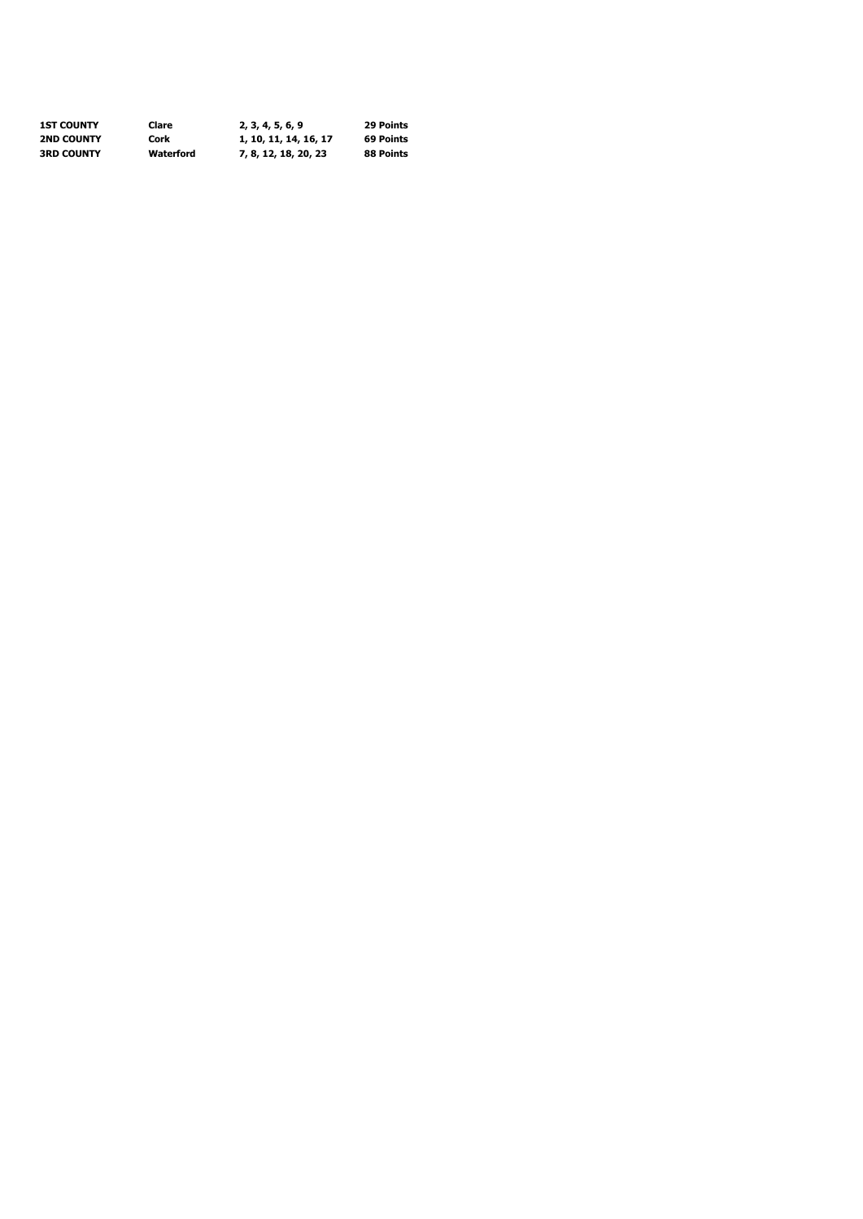| <b>1ST COUNTY</b> | Clare     | 2, 3, 4, 5, 6, 9      | 29 Points |
|-------------------|-----------|-----------------------|-----------|
| <b>2ND COUNTY</b> | Cork      | 1, 10, 11, 14, 16, 17 | 69 Points |
| <b>3RD COUNTY</b> | Waterford | 7, 8, 12, 18, 20, 23  | 88 Points |